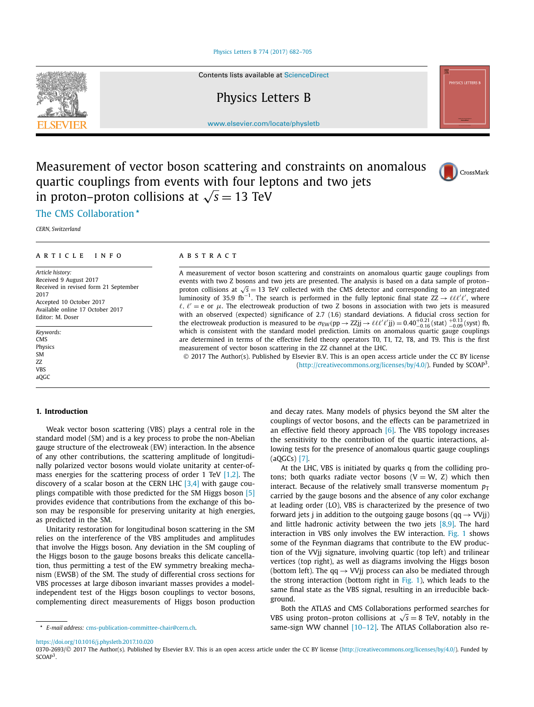#### [Physics Letters B 774 \(2017\) 682–705](https://doi.org/10.1016/j.physletb.2017.10.020)

Contents lists available at [ScienceDirect](http://www.ScienceDirect.com/)

Physics Letters B

[www.elsevier.com/locate/physletb](http://www.elsevier.com/locate/physletb)

## Measurement of vector boson scattering and constraints on anomalous quartic couplings from events with four leptons and two jets in proton–proton collisions at  $\sqrt{s} = 13$  TeV

### The CMS [Collaboration](#page-7-0)<sup>\*</sup>

*CERN, Switzerland*

#### A R T I C L E I N F O A B S T R A C T

*Article history:* Received 9 August 2017 Received in revised form 21 September 2017 Accepted 10 October 2017 Available online 17 October 2017 Editor: M. Doser

*Keywords:* CMS Physics SM ZZ VBS aQGC

A measurement of vector boson scattering and constraints on anomalous quartic gauge couplings from events with two Z bosons and two jets are presented. The analysis is based on a data sample of proton– proton collisions at <sup>√</sup>*<sup>s</sup>* <sup>=</sup> 13 TeV collected with the CMS detector and corresponding to an integrated luminosity of 35.9 fb<sup>-1</sup>. The search is performed in the fully leptonic final state  $ZZ \to \ell \ell \ell' \ell'$ , where  $\ell$ ,  $\ell' = e$  or  $\mu$ . The electroweak production of two Z bosons in association with two jets is measured with an observed (expected) significance of 2.7 (1.6) standard deviations. A fiducial cross section for the electroweak production is measured to be  $\sigma_{EW}(pp \to ZZjj \to \ell \ell \ell' \ell'jj) = 0.40_{-0.16}^{+0.21}$  (stat)  $_{-0.09}^{+0.13}$  (syst) fb, which is consistent with the standard model prediction. Limits on anomalous quartic gauge couplings are determined in terms of the effective field theory operators T0, T1, T2, T8, and T9. This is the first measurement of vector boson scattering in the ZZ channel at the LHC.

© 2017 The Author(s). Published by Elsevier B.V. This is an open access article under the CC BY license [\(http://creativecommons.org/licenses/by/4.0/\)](http://creativecommons.org/licenses/by/4.0/). Funded by  $SCOAP<sup>3</sup>$ .

### **1. Introduction**

Weak vector boson scattering (VBS) plays a central role in the standard model (SM) and is a key process to probe the non-Abelian gauge structure of the electroweak (EW) interaction. In the absence of any other contributions, the scattering amplitude of longitudinally polarized vector bosons would violate unitarity at center-ofmass energies for the scattering process of order 1 TeV  $[1,2]$ . The discovery of a scalar boson at the CERN LHC  $[3,4]$  with gauge couplings compatible with those predicted for the SM Higgs boson [\[5\]](#page-6-0) provides evidence that contributions from the exchange of this boson may be responsible for preserving unitarity at high energies, as predicted in the SM.

Unitarity restoration for longitudinal boson scattering in the SM relies on the interference of the VBS amplitudes and amplitudes that involve the Higgs boson. Any deviation in the SM coupling of the Higgs boson to the gauge bosons breaks this delicate cancellation, thus permitting a test of the EW symmetry breaking mechanism (EWSB) of the SM. The study of differential cross sections for VBS processes at large diboson invariant masses provides a modelindependent test of the Higgs boson couplings to vector bosons, complementing direct measurements of Higgs boson production and decay rates. Many models of physics beyond the SM alter the couplings of vector bosons, and the effects can be parametrized in an effective field theory approach  $[6]$ . The VBS topology increases the sensitivity to the contribution of the quartic interactions, allowing tests for the presence of anomalous quartic gauge couplings (aQGCs) [\[7\].](#page-6-0)

At the LHC, VBS is initiated by quarks q from the colliding protons; both quarks radiate vector bosons  $(V = W, Z)$  which then interact. Because of the relatively small transverse momentum  $p_T$ carried by the gauge bosons and the absence of any color exchange at leading order (LO), VBS is characterized by the presence of two forward jets j in addition to the outgoing gauge bosons (qq  $\rightarrow$  VVjj) and little hadronic activity between the two jets  $[8,9]$ . The hard interaction in VBS only involves the EW interaction. [Fig. 1](#page-1-0) shows some of the Feynman diagrams that contribute to the EW production of the VVjj signature, involving quartic (top left) and trilinear vertices (top right), as well as diagrams involving the Higgs boson (bottom left). The  $qq \rightarrow VVjj$  process can also be mediated through the strong interaction (bottom right in  $Fig. 1$ ), which leads to the same final state as the VBS signal, resulting in an irreducible background.

Both the ATLAS and CMS Collaborations performed searches for VBS using proton–proton collisions at  $\sqrt{s} = 8$  TeV, notably in the same-sign WW channel [\[10–12\].](#page-6-0) The ATLAS Collaboration also re-

0370-2693/© 2017 The Author(s). Published by Elsevier B.V. This is an open access article under the CC BY license [\(http://creativecommons.org/licenses/by/4.0/](http://creativecommons.org/licenses/by/4.0/)). Funded by SCOAP<sup>3</sup>.





CrossMark

*<sup>-</sup> E-mail address:* [cms-publication-committee-chair@cern.ch](mailto:cms-publication-committee-chair@cern.ch).

<https://doi.org/10.1016/j.physletb.2017.10.020>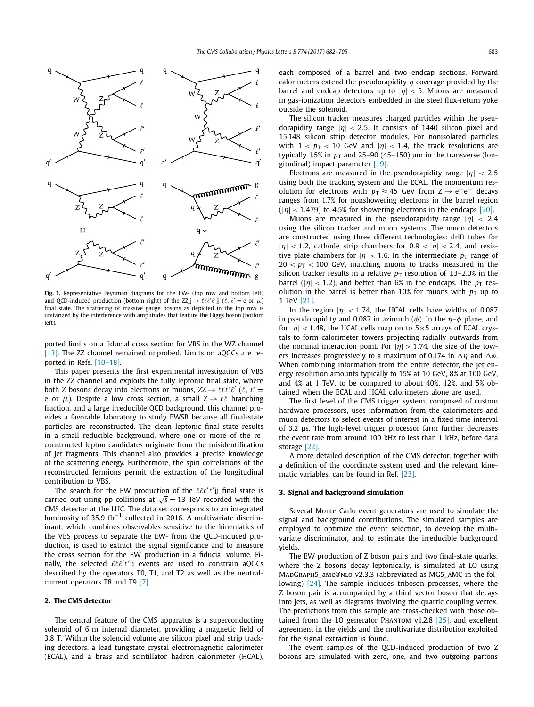<span id="page-1-0"></span>

**Fig. 1.** Representative Feynman diagrams for the EW- (top row and bottom left) and QCD-induced production (bottom right) of the ZZjj  $\rightarrow \ell \ell \ell' \ell'$  jj ( $\ell, \ell' = e$  or  $\mu$ ) final state. The scattering of massive gauge bosons as depicted in the top row is unitarized by the interference with amplitudes that feature the Higgs boson (bottom left).

ported limits on a fiducial cross section for VBS in the WZ channel [\[13\].](#page-6-0) The ZZ channel remained unprobed. Limits on aQGCs are reported in Refs. [\[10–18\].](#page-6-0)

This paper presents the first experimental investigation of VBS in the ZZ channel and exploits the fully leptonic final state, where both Z bosons decay into electrons or muons,  $ZZ \to \ell \ell \ell' \ell'$  ( $\ell, \ell' =$ e or  $\mu$ ). Despite a low cross section, a small  $Z \rightarrow \ell \ell$  branching fraction, and a large irreducible QCD background, this channel provides a favorable laboratory to study EWSB because all final-state particles are reconstructed. The clean leptonic final state results in a small reducible background, where one or more of the reconstructed lepton candidates originate from the misidentification of jet fragments. This channel also provides a precise knowledge of the scattering energy. Furthermore, the spin correlations of the reconstructed fermions permit the extraction of the longitudinal contribution to VBS.

The search for the EW production of the  $\ell\ell\ell'\ell'$ jj final state is carried out using pp collisions at  $\sqrt{s}$  = 13 TeV recorded with the CMS detector at the LHC. The data set corresponds to an integrated luminosity of 35.9 fb−<sup>1</sup> collected in 2016. A multivariate discriminant, which combines observables sensitive to the kinematics of the VBS process to separate the EW- from the QCD-induced production, is used to extract the signal significance and to measure the cross section for the EW production in a fiducial volume. Finally, the selected  $\ell\ell\ell'\ell'$ jj events are used to constrain aQGCs described by the operators T0, T1, and T2 as well as the neutralcurrent operators T8 and T9 [\[7\].](#page-6-0)

#### **2. The CMS detector**

The central feature of the CMS apparatus is a superconducting solenoid of 6 m internal diameter, providing a magnetic field of 3.8 T. Within the solenoid volume are silicon pixel and strip tracking detectors, a lead tungstate crystal electromagnetic calorimeter (ECAL), and a brass and scintillator hadron calorimeter (HCAL), each composed of a barrel and two endcap sections. Forward calorimeters extend the pseudorapidity *η* coverage provided by the barrel and endcap detectors up to |*η*| *<* 5. Muons are measured in gas-ionization detectors embedded in the steel flux-return yoke outside the solenoid.

The silicon tracker measures charged particles within the pseudorapidity range |*η*| *<* <sup>2</sup>*.*5. It consists of <sup>1440</sup> silicon pixel and 15 148 silicon strip detector modules. For nonisolated particles with  $1 < p_T < 10$  GeV and  $|\eta| < 1.4$ , the track resolutions are typically 1.5% in  $p_T$  and 25–90 (45–150)  $\mu$ m in the transverse (longitudinal) impact parameter [\[19\].](#page-6-0)

Electrons are measured in the pseudorapidity range |*η*| *<* <sup>2</sup>*.*<sup>5</sup> using both the tracking system and the ECAL. The momentum resolution for electrons with  $p_T \approx 45$  GeV from  $Z \rightarrow e^+e^-$  decays ranges from 1.7% for nonshowering electrons in the barrel region  $(|\eta| < 1.479)$  to 4.5% for showering electrons in the endcaps [\[20\].](#page-6-0)

Muons are measured in the pseudorapidity range |*η*| *<* <sup>2</sup>*.*<sup>4</sup> using the silicon tracker and muon systems. The muon detectors are constructed using three different technologies: drift tubes for | $|\eta|$  < 1.2, cathode strip chambers for 0.9 <  $|\eta|$  < 2.4, and resistive plate chambers for  $|\eta|$  < 1.6. In the intermediate  $p<sub>T</sub>$  range of  $20 < p_T < 100$  GeV, matching muons to tracks measured in the silicon tracker results in a relative  $p_T$  resolution of 1.3–2.0% in the barrel ( $|\eta|$  < 1.2), and better than 6% in the endcaps. The  $p_T$  resolution in the barrel is better than 10% for muons with  $p_T$  up to 1 TeV [\[21\].](#page-6-0)

In the region  $|\eta|$  < 1.74, the HCAL cells have widths of 0.087 in pseudorapidity and 0.087 in azimuth ( $\phi$ ). In the  $\eta$ - $\phi$  plane, and for  $|\eta|$  < 1.48, the HCAL cells map on to  $5 \times 5$  arrays of ECAL crystals to form calorimeter towers projecting radially outwards from the nominal interaction point. For  $|\eta| > 1.74$ , the size of the towers increases progressively to a maximum of 0.174 in  $\Delta \eta$  and  $\Delta \phi$ . When combining information from the entire detector, the jet energy resolution amounts typically to 15% at 10 GeV, 8% at 100 GeV, and 4% at 1 TeV, to be compared to about 40%, 12%, and 5% obtained when the ECAL and HCAL calorimeters alone are used.

The first level of the CMS trigger system, composed of custom hardware processors, uses information from the calorimeters and muon detectors to select events of interest in a fixed time interval of 3.2 μs. The high-level trigger processor farm further decreases the event rate from around 100 kHz to less than 1 kHz, before data storage [\[22\].](#page-6-0)

A more detailed description of the CMS detector, together with a definition of the coordinate system used and the relevant kinematic variables, can be found in Ref. [\[23\].](#page-6-0)

#### **3. Signal and background simulation**

Several Monte Carlo event generators are used to simulate the signal and background contributions. The simulated samples are employed to optimize the event selection, to develop the multivariate discriminator, and to estimate the irreducible background yields.

The EW production of Z boson pairs and two final-state quarks, where the Z bosons decay leptonically, is simulated at LO using MADGRAPH5\_aMC@NLO V2.3.3 (abbreviated as MG5\_AMC in the following) [\[24\].](#page-6-0) The sample includes triboson processes, where the Z boson pair is accompanied by a third vector boson that decays into jets, as well as diagrams involving the quartic coupling vertex. The predictions from this sample are cross-checked with those obtained from the LO generator PHANTOM v1.2.8  $[25]$ , and excellent agreement in the yields and the multivariate distribution exploited for the signal extraction is found.

The event samples of the QCD-induced production of two Z bosons are simulated with zero, one, and two outgoing partons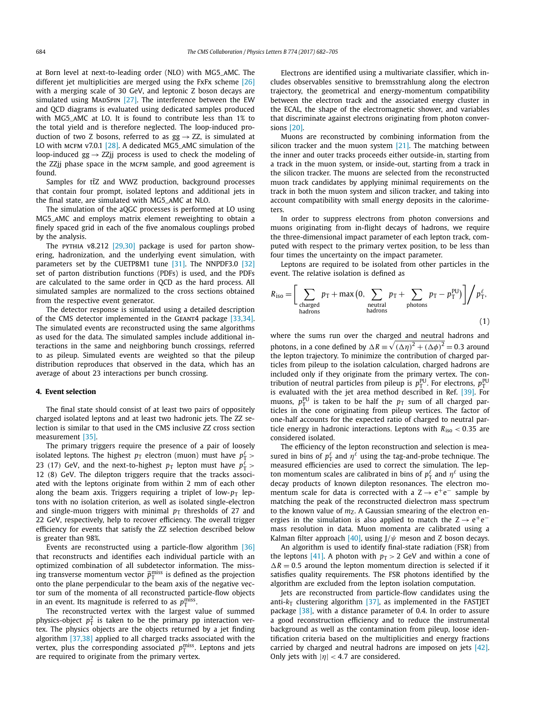at Born level at next-to-leading order (NLO) with MG5\_aMC. The different jet multiplicities are merged using the FxFx scheme [\[26\]](#page-6-0) with a merging scale of 30 GeV, and leptonic Z boson decays are simulated using MADSPIN  $[27]$ . The interference between the EW and QCD diagrams is evaluated using dedicated samples produced with MG5\_aMC at LO. It is found to contribute less than 1% to the total yield and is therefore neglected. The loop-induced production of two Z bosons, referred to as  $gg \rightarrow ZZ$ , is simulated at LO with MCFM v7.0.1  $[28]$ . A dedicated MG5\_AMC simulation of the loop-induced  $gg \rightarrow ZZ$ ji process is used to check the modeling of the ZZjj phase space in the mcfm sample, and good agreement is found.

Samples for ttZ and WWZ production, background processes that contain four prompt, isolated leptons and additional jets in the final state, are simulated with MG5\_aMC at NLO.

The simulation of the aQGC processes is performed at LO using MG5\_aMC and employs matrix element reweighting to obtain a finely spaced grid in each of the five anomalous couplings probed by the analysis.

The PYTHIA v8.212 [\[29,30\]](#page-7-0) package is used for parton showering, hadronization, and the underlying event simulation, with parameters set by the CUETP8M1 tune [\[31\].](#page-7-0) The NNPDF3.0 [\[32\]](#page-7-0) set of parton distribution functions (PDFs) is used, and the PDFs are calculated to the same order in QCD as the hard process. All simulated samples are normalized to the cross sections obtained from the respective event generator.

The detector response is simulated using a detailed description of the CMS detector implemented in the GEANT4 package [\[33,34\].](#page-7-0) The simulated events are reconstructed using the same algorithms as used for the data. The simulated samples include additional interactions in the same and neighboring bunch crossings, referred to as pileup. Simulated events are weighted so that the pileup distribution reproduces that observed in the data, which has an average of about 23 interactions per bunch crossing.

#### **4. Event selection**

The final state should consist of at least two pairs of oppositely charged isolated leptons and at least two hadronic jets. The ZZ selection is similar to that used in the CMS inclusive ZZ cross section measurement [\[35\].](#page-7-0)

The primary triggers require the presence of a pair of loosely isolated leptons. The highest  $p_{\rm T}$  electron (muon) must have  $p_{\rm T}^{\ell}>$ 23 (17) GeV, and the next-to-highest  $p_{\text{T}}$  lepton must have  $p_{\text{T}}^{\ell} >$ 12 *(*8*)* GeV. The dilepton triggers require that the tracks associated with the leptons originate from within 2 mm of each other along the beam axis. Triggers requiring a triplet of low- $p_T$  leptons with no isolation criterion, as well as isolated single-electron and single-muon triggers with minimal  $p_T$  thresholds of 27 and 22 GeV, respectively, help to recover efficiency. The overall trigger efficiency for events that satisfy the ZZ selection described below is greater than 98%.

Events are reconstructed using a particle-flow algorithm [\[36\]](#page-7-0) that reconstructs and identifies each individual particle with an optimized combination of all subdetector information. The missing transverse momentum vector  $\vec{p}_{\rm T}^{\rm miss}$  is defined as the projection onto the plane perpendicular to the beam axis of the negative vector sum of the momenta of all reconstructed particle-flow objects in an event. Its magnitude is referred to as  $p_{\rm T}^{\rm miss}.$ 

The reconstructed vertex with the largest value of summed physics-object  $p_{\rm T}^2$  is taken to be the primary pp interaction vertex. The physics objects are the objects returned by a jet finding algorithm [\[37,38\]](#page-7-0) applied to all charged tracks associated with the vertex, plus the corresponding associated  $p_{\rm T}^{\rm miss}$ . Leptons and jets are required to originate from the primary vertex.

Electrons are identified using a multivariate classifier, which includes observables sensitive to bremsstrahlung along the electron trajectory, the geometrical and energy-momentum compatibility between the electron track and the associated energy cluster in the ECAL, the shape of the electromagnetic shower, and variables that discriminate against electrons originating from photon conversions [\[20\].](#page-6-0)

Muons are reconstructed by combining information from the silicon tracker and the muon system  $[21]$ . The matching between the inner and outer tracks proceeds either outside-in, starting from a track in the muon system, or inside-out, starting from a track in the silicon tracker. The muons are selected from the reconstructed muon track candidates by applying minimal requirements on the track in both the muon system and silicon tracker, and taking into account compatibility with small energy deposits in the calorimeters.

In order to suppress electrons from photon conversions and muons originating from in-flight decays of hadrons, we require the three-dimensional impact parameter of each lepton track, computed with respect to the primary vertex position, to be less than four times the uncertainty on the impact parameter.

Leptons are required to be isolated from other particles in the event. The relative isolation is defined as

$$
R_{\text{iso}} = \left[ \sum_{\substack{\text{charged} \\ \text{hadrons}}} p_{\text{T}} + \max\left(0, \sum_{\substack{\text{neutral} \\ \text{hadrons}}} p_{\text{T}} + \sum_{\text{photons}} p_{\text{T}} - p_{\text{T}}^{\text{PU}}\right) \right] / p_{\text{T}}^{\ell}, \tag{1}
$$

where the sums run over the charged and neutral hadrons and photons, in a cone defined by  $\Delta R = \sqrt{(\Delta \eta)^2 + (\Delta \phi)^2} = 0.3$  around the lepton trajectory. To minimize the contribution of charged particles from pileup to the isolation calculation, charged hadrons are included only if they originate from the primary vertex. The contribution of neutral particles from pileup is  $p_T^{PU}$ . For electrons,  $p_T^{PU}$ is evaluated with the jet area method described in Ref. [\[39\].](#page-7-0) For muons,  $p_T^{PU}$  is taken to be half the  $p_T$  sum of all charged particles in the cone originating from pileup vertices. The factor of one-half accounts for the expected ratio of charged to neutral particle energy in hadronic interactions. Leptons with *R*iso *<* 0*.*35 are considered isolated.

The efficiency of the lepton reconstruction and selection is measured in bins of  $p_T^{\ell}$  and  $\eta^{\ell}$  using the tag-and-probe technique. The measured efficiencies are used to correct the simulation. The lepton momentum scales are calibrated in bins of  $p_T^{\ell}$  and  $\eta^{\ell}$  using the decay products of known dilepton resonances. The electron momentum scale for data is corrected with a  $Z \rightarrow e^+e^-$  sample by matching the peak of the reconstructed dielectron mass spectrum to the known value of  $m_Z$ . A Gaussian smearing of the electron energies in the simulation is also applied to match the  $Z \rightarrow e^+e^$ mass resolution in data. Muon momenta are calibrated using a Kalman filter approach  $[40]$ , using  $J/\psi$  meson and Z boson decays.

An algorithm is used to identify final-state radiation (FSR) from the leptons [\[41\].](#page-7-0) A photon with  $p_T > 2$  GeV and within a cone of  $\Delta R = 0.5$  around the lepton momentum direction is selected if it satisfies quality requirements. The FSR photons identified by the algorithm are excluded from the lepton isolation computation.

Jets are reconstructed from particle-flow candidates using the anti- $k<sub>T</sub>$  clustering algorithm [\[37\],](#page-7-0) as implemented in the FASTJET package [\[38\],](#page-7-0) with a distance parameter of 0.4. In order to assure a good reconstruction efficiency and to reduce the instrumental background as well as the contamination from pileup, loose identification criteria based on the multiplicities and energy fractions carried by charged and neutral hadrons are imposed on jets [\[42\].](#page-7-0) Only jets with  $|\eta|$  < 4.7 are considered.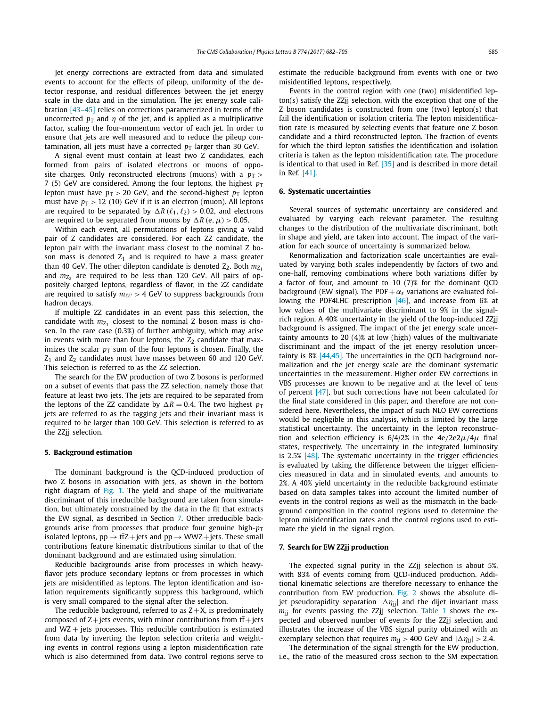Jet energy corrections are extracted from data and simulated events to account for the effects of pileup, uniformity of the detector response, and residual differences between the jet energy scale in the data and in the simulation. The jet energy scale calibration [\[43–45\]](#page-7-0) relies on corrections parameterized in terms of the uncorrected  $p_T$  and  $\eta$  of the jet, and is applied as a multiplicative factor, scaling the four-momentum vector of each jet. In order to ensure that jets are well measured and to reduce the pileup contamination, all jets must have a corrected  $p<sub>T</sub>$  larger than 30 GeV.

A signal event must contain at least two Z candidates, each formed from pairs of isolated electrons or muons of opposite charges. Only reconstructed electrons (muons) with a  $p_T >$ 7 (5) GeV are considered. Among the four leptons, the highest  $p_T$ lepton must have  $p_T > 20$  GeV, and the second-highest  $p_T$  lepton must have  $p_T > 12$  (10) GeV if it is an electron (muon). All leptons are required to be separated by  $\Delta R(\ell_1, \ell_2) > 0.02$ , and electrons are required to be separated from muons by  $\Delta R$  (e,  $\mu$ ) > 0.05.

Within each event, all permutations of leptons giving a valid pair of Z candidates are considered. For each ZZ candidate, the lepton pair with the invariant mass closest to the nominal Z boson mass is denoted  $Z_1$  and is required to have a mass greater than 40 GeV. The other dilepton candidate is denoted  $Z_2$ . Both  $m_{Z_1}$ and  $m_{Z_2}$  are required to be less than 120 GeV. All pairs of oppositely charged leptons, regardless of flavor, in the ZZ candidate are required to satisfy  $m_{\ell\ell'} > 4$  GeV to suppress backgrounds from hadron decays.

If multiple ZZ candidates in an event pass this selection, the candidate with  $m_{Z_1}$  closest to the nominal Z boson mass is chosen. In the rare case (0.3%) of further ambiguity, which may arise in events with more than four leptons, the  $Z_2$  candidate that maximizes the scalar  $p<sub>T</sub>$  sum of the four leptons is chosen. Finally, the  $Z_1$  and  $Z_2$  candidates must have masses between 60 and 120 GeV. This selection is referred to as the ZZ selection.

The search for the EW production of two Z bosons is performed on a subset of events that pass the ZZ selection, namely those that feature at least two jets. The jets are required to be separated from the leptons of the ZZ candidate by  $\Delta R = 0.4$ . The two highest  $p_T$ jets are referred to as the tagging jets and their invariant mass is required to be larger than 100 GeV. This selection is referred to as the ZZjj selection.

#### **5. Background estimation**

The dominant background is the QCD-induced production of two Z bosons in association with jets, as shown in the bottom right diagram of [Fig. 1.](#page-1-0) The yield and shape of the multivariate discriminant of this irreducible background are taken from simulation, but ultimately constrained by the data in the fit that extracts the EW signal, as described in Section 7. Other irreducible backgrounds arise from processes that produce four genuine high- $p<sub>T</sub>$ isolated leptons,  $pp \rightarrow t\bar{t}Z + \text{jets}$  and  $pp \rightarrow WWZ + \text{jets}$ . These small contributions feature kinematic distributions similar to that of the dominant background and are estimated using simulation.

Reducible backgrounds arise from processes in which heavyflavor jets produce secondary leptons or from processes in which jets are misidentified as leptons. The lepton identification and isolation requirements significantly suppress this background, which is very small compared to the signal after the selection.

The reducible background, referred to as  $Z+X$ , is predominately composed of  $Z+$  jets events, with minor contributions from  $tt+jets$ and  $WZ$  + jets processes. This reducible contribution is estimated from data by inverting the lepton selection criteria and weighting events in control regions using a lepton misidentification rate which is also determined from data. Two control regions serve to estimate the reducible background from events with one or two misidentified leptons, respectively.

Events in the control region with one (two) misidentified lepton(s) satisfy the ZZjj selection, with the exception that one of the Z boson candidates is constructed from one (two) lepton(s) that fail the identification or isolation criteria. The lepton misidentification rate is measured by selecting events that feature one Z boson candidate and a third reconstructed lepton. The fraction of events for which the third lepton satisfies the identification and isolation criteria is taken as the lepton misidentification rate. The procedure is identical to that used in Ref. [\[35\]](#page-7-0) and is described in more detail in Ref. [\[41\].](#page-7-0)

#### **6. Systematic uncertainties**

Several sources of systematic uncertainty are considered and evaluated by varying each relevant parameter. The resulting changes to the distribution of the multivariate discriminant, both in shape and yield, are taken into account. The impact of the variation for each source of uncertainty is summarized below.

Renormalization and factorization scale uncertainties are evaluated by varying both scales independently by factors of two and one-half, removing combinations where both variations differ by a factor of four, and amount to 10 (7)% for the dominant QCD background (EW signal). The PDF +  $\alpha_s$  variations are evaluated fol-lowing the PDF4LHC prescription [\[46\],](#page-7-0) and increase from 6% at low values of the multivariate discriminant to 9% in the signalrich region. A 40% uncertainty in the yield of the loop-induced ZZjj background is assigned. The impact of the jet energy scale uncertainty amounts to 20 (4)% at low (high) values of the multivariate discriminant and the impact of the jet energy resolution uncertainty is 8% [\[44,45\].](#page-7-0) The uncertainties in the QCD background normalization and the jet energy scale are the dominant systematic uncertainties in the measurement. Higher order EW corrections in VBS processes are known to be negative and at the level of tens of percent [\[47\],](#page-7-0) but such corrections have not been calculated for the final state considered in this paper, and therefore are not considered here. Nevertheless, the impact of such NLO EW corrections would be negligible in this analysis, which is limited by the large statistical uncertainty. The uncertainty in the lepton reconstruction and selection efficiency is 6/4/2% in the 4e*/*2e2*μ/*4*μ* final states, respectively. The uncertainty in the integrated luminosity is 2.5% [\[48\].](#page-7-0) The systematic uncertainty in the trigger efficiencies is evaluated by taking the difference between the trigger efficiencies measured in data and in simulated events, and amounts to 2%. A 40% yield uncertainty in the reducible background estimate based on data samples takes into account the limited number of events in the control regions as well as the mismatch in the background composition in the control regions used to determine the lepton misidentification rates and the control regions used to estimate the yield in the signal region.

#### **7. Search for EW ZZjj production**

The expected signal purity in the ZZjj selection is about 5%, with 83% of events coming from QCD-induced production. Additional kinematic selections are therefore necessary to enhance the contribution from EW production. [Fig. 2](#page-4-0) shows the absolute dijet pseudorapidity separation  $|\Delta \eta_{ij}|$  and the dijet invariant mass  $m_{ij}$  for events passing the ZZjj selection. [Table 1](#page-4-0) shows the expected and observed number of events for the ZZjj selection and illustrates the increase of the VBS signal purity obtained with an exemplary selection that requires  $m_{ij} > 400$  GeV and  $|\Delta \eta_{ji}| > 2.4$ .

The determination of the signal strength for the EW production, i.e., the ratio of the measured cross section to the SM expectation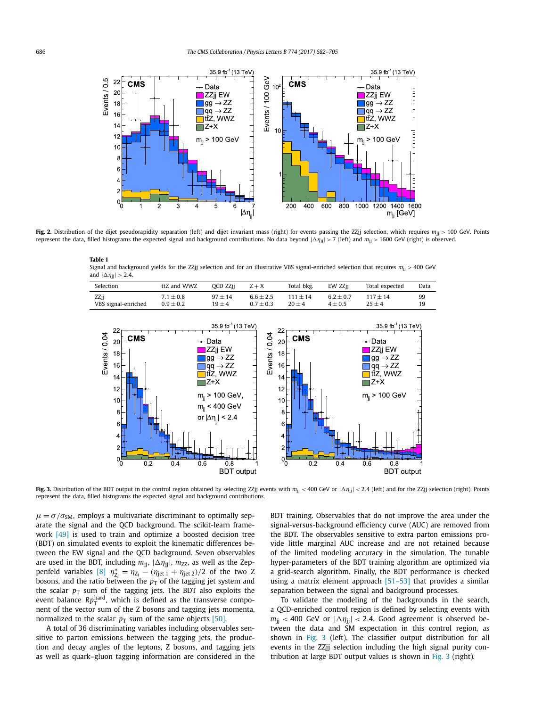<span id="page-4-0"></span>

**Fig. 2.** Distribution of the dijet pseudorapidity separation (left) and dijet invariant mass (right) for events passing the ZZjj selection, which requires *m*jj *>* 100 GeV. Points represent the data, filled histograms the expected signal and background contributions. No data beyond  $|\Delta \eta_{ij}|$  *>* 7 (left) and  $m_{ii}$  > 1600 GeV (right) is observed.

| Table 1                                                                                                                                    |  |
|--------------------------------------------------------------------------------------------------------------------------------------------|--|
| Signal and background yields for the ZZjj selection and for an illustrative VBS signal-enriched selection that requires $m_{ii} > 400$ GeV |  |
| and $ \Delta \eta_{ii}  > 2.4$ .                                                                                                           |  |



**Fig. 3.** Distribution of the BDT output in the control region obtained by selecting ZZjj events with *<sup>m</sup>*jj *<* 400 GeV or |*η*jj| *<* <sup>2</sup>*.*4 (left) and for the ZZjj selection (right). Points represent the data, filled histograms the expected signal and background contributions.

 $\mu = \sigma / \sigma_{SM}$ , employs a multivariate discriminant to optimally separate the signal and the QCD background. The scikit-learn framework [\[49\]](#page-7-0) is used to train and optimize a boosted decision tree (BDT) on simulated events to exploit the kinematic differences between the EW signal and the QCD background. Seven observables are used in the BDT, including  $m_{ij}$ ,  $|\Delta \eta_{ij}|$ ,  $m_{ZZ}$ , as well as the Zeppenfeld variables  $[8]$   $\eta_{Z_i}^* = \eta_{Z_i} - (\eta_{\text{jet 1}} + \eta_{\text{jet 2}})/2$  of the two Z bosons, and the ratio between the  $p_T$  of the tagging jet system and the scalar  $p_T$  sum of the tagging jets. The BDT also exploits the event balance  $\mathit{Rp}_\mathrm{T}^\mathrm{hard}$ , which is defined as the transverse component of the vector sum of the Z bosons and tagging jets momenta, normalized to the scalar  $p<sub>T</sub>$  sum of the same objects [\[50\].](#page-7-0)

A total of 36 discriminating variables including observables sensitive to parton emissions between the tagging jets, the production and decay angles of the leptons, Z bosons, and tagging jets as well as quark–gluon tagging information are considered in the BDT training. Observables that do not improve the area under the signal-versus-background efficiency curve (AUC) are removed from the BDT. The observables sensitive to extra parton emissions provide little marginal AUC increase and are not retained because of the limited modeling accuracy in the simulation. The tunable hyper-parameters of the BDT training algorithm are optimized via a grid-search algorithm. Finally, the BDT performance is checked using a matrix element approach [51-53] that provides a similar separation between the signal and background processes.

To validate the modeling of the backgrounds in the search, a QCD-enriched control region is defined by selecting events with  $m_{jj}$  < 400 GeV or  $|\Delta \eta_{jj}|$  < 2.4. Good agreement is observed between the data and SM expectation in this control region, as shown in Fig. 3 (left). The classifier output distribution for all events in the ZZjj selection including the high signal purity contribution at large BDT output values is shown in Fig. 3 (right).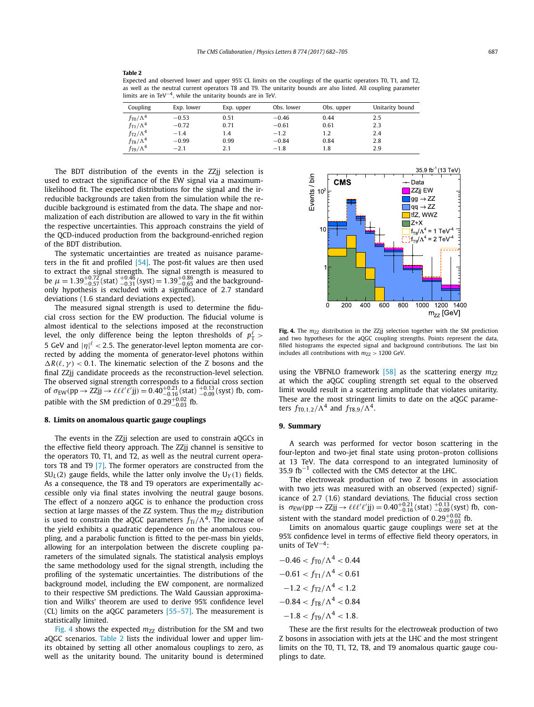Expected and observed lower and upper 95% CL limits on the couplings of the quartic operators T0, T1, and T2, as well as the neutral current operators T8 and T9. The unitarity bounds are also listed. All coupling parameter limits are in TeV<sup>−</sup>4, while the unitarity bounds are in TeV.

| Coupling                  | Exp. lower | Exp. upper | Obs. lower | Obs. upper | Unitarity bound |
|---------------------------|------------|------------|------------|------------|-----------------|
| $f_{\rm TO}/\Lambda^4$    | $-0.53$    | 0.51       | $-0.46$    | 0.44       | 2.5             |
| $f_{\text{T1}}/\Lambda^4$ | $-0.72$    | 0.71       | $-0.61$    | 0.61       | 2.3             |
| $f_{\rm T2}/\Lambda^4$    | $-1.4$     | 1.4        | $-1.2$     | 1.2        | 2.4             |
| $f_{T8}/\Lambda^4$        | $-0.99$    | 0.99       | $-0.84$    | 0.84       | 2.8             |
| $f_{T9}/\Lambda^4$        | $-2.1$     | 2.1        | $-1.8$     | 1.8        | 2.9             |

The BDT distribution of the events in the ZZjj selection is used to extract the significance of the EW signal via a maximumlikelihood fit. The expected distributions for the signal and the irreducible backgrounds are taken from the simulation while the reducible background is estimated from the data. The shape and normalization of each distribution are allowed to vary in the fit within the respective uncertainties. This approach constrains the yield of the QCD-induced production from the background-enriched region of the BDT distribution.

The systematic uncertainties are treated as nuisance parameters in the fit and profiled  $[54]$ . The post-fit values are then used to extract the signal strength. The signal strength is measured to<br>be *μ* = 1.39<sup>+0.72</sup> (stat) <sup>+0.46</sup> (syst) = 1.39<sup>+0.86</sup> and the background-<br>called herethosis is much additional signals of 2.7 strengthed only hypothesis is excluded with a significance of 2*.*7 standard deviations (1*.*6 standard deviations expected).

The measured signal strength is used to determine the fiducial cross section for the EW production. The fiducial volume is almost identical to the selections imposed at the reconstruction level, the only difference being the lepton thresholds of  $p_{\textrm{T}}^{\ell} >$ 5 GeV and  $|\eta|^{\ell}$  < 2.5. The generator-level lepton momenta are corrected by adding the momenta of generator-level photons within  $\Delta R(\ell, \gamma)$  < 0.1. The kinematic selection of the Z bosons and the final ZZjj candidate proceeds as the reconstruction-level selection. The observed signal strength corresponds to a fiducial cross section of  $\sigma_{EW}(pp \rightarrow ZZjj \rightarrow \ell \ell \ell' \ell'jj) = 0.40^{+0.21}_{-0.16}$  (stat)  $^{+0.13}_{-0.09}$  (syst) fb, compatible with the SM prediction of  $0.29^{+0.02}_{-0.03}$  fb.

#### **8. Limits on anomalous quartic gauge couplings**

The events in the ZZjj selection are used to constrain aQGCs in the effective field theory approach. The ZZjj channel is sensitive to the operators T0, T1, and T2, as well as the neutral current operators T8 and T9 [\[7\].](#page-6-0) The former operators are constructed from the  $SU_L(2)$  gauge fields, while the latter only involve the U<sub>Y</sub>(1) fields. As a consequence, the T8 and T9 operators are experimentally accessible only via final states involving the neutral gauge bosons. The effect of a nonzero aQGC is to enhance the production cross section at large masses of the ZZ system. Thus the  $m_{ZZ}$  distribution is used to constrain the aQGC parameters  $f_{\rm Ti}/\Lambda^4.$  The increase of the yield exhibits a quadratic dependence on the anomalous coupling, and a parabolic function is fitted to the per-mass bin yields, allowing for an interpolation between the discrete coupling parameters of the simulated signals. The statistical analysis employs the same methodology used for the signal strength, including the profiling of the systematic uncertainties. The distributions of the background model, including the EW component, are normalized to their respective SM predictions. The Wald Gaussian approximation and Wilks' theorem are used to derive 95% confidence level (CL) limits on the aQGC parameters [\[55–57\].](#page-7-0) The measurement is statistically limited.

Fig. 4 shows the expected  $m_{ZZ}$  distribution for the SM and two aQGC scenarios. Table 2 lists the individual lower and upper limits obtained by setting all other anomalous couplings to zero, as well as the unitarity bound. The unitarity bound is determined



Fig. 4. The  $m_{ZZ}$  distribution in the ZZjj selection together with the SM prediction and two hypotheses for the aQGC coupling strengths. Points represent the data, filled histograms the expected signal and background contributions. The last bin includes all contributions with  $m_{ZZ}$   $> 1200$  GeV.

using the VBFNLO framework [\[58\]](#page-7-0) as the scattering energy  $m_{ZZ}$ at which the aQGC coupling strength set equal to the observed limit would result in a scattering amplitude that violates unitarity. These are the most stringent limits to date on the aQGC parameters  $f_{T0,1,2}/\Lambda^4$  and  $f_{T8,9}/\Lambda^4$ .

#### **9. Summary**

A search was performed for vector boson scattering in the four-lepton and two-jet final state using proton–proton collisions at 13 TeV. The data correspond to an integrated luminosity of 35.9  $fb^{-1}$  collected with the CMS detector at the LHC.

The electroweak production of two Z bosons in association with two jets was measured with an observed (expected) significance of 2.7 (1.6) standard deviations. The fiducial cross section is  $\sigma_{EW}(pp \to ZZjj \to \ell \ell \ell' \ell'jj) = 0.40^{+0.21}_{-0.16}$  (stat)  $^{+0.13}_{-0.09}$  (syst) fb, consistent with the standard model prediction of  $0.29_{-0.03}^{+0.02}$  fb.

Limits on anomalous quartic gauge couplings were set at the 95% confidence level in terms of effective field theory operators, in units of TeV<sup> $-4$ </sup>:

$$
-0.46 < f_{TO}/\Lambda^4 < 0.44
$$
\n
$$
-0.61 < f_{T1}/\Lambda^4 < 0.61
$$
\n
$$
-1.2 < f_{T2}/\Lambda^4 < 1.2
$$
\n
$$
-0.84 < f_{TS}/\Lambda^4 < 0.84
$$
\n
$$
-1.8 < f_{T9}/\Lambda^4 < 1.8.
$$

These are the first results for the electroweak production of two Z bosons in association with jets at the LHC and the most stringent limits on the T0, T1, T2, T8, and T9 anomalous quartic gauge couplings to date.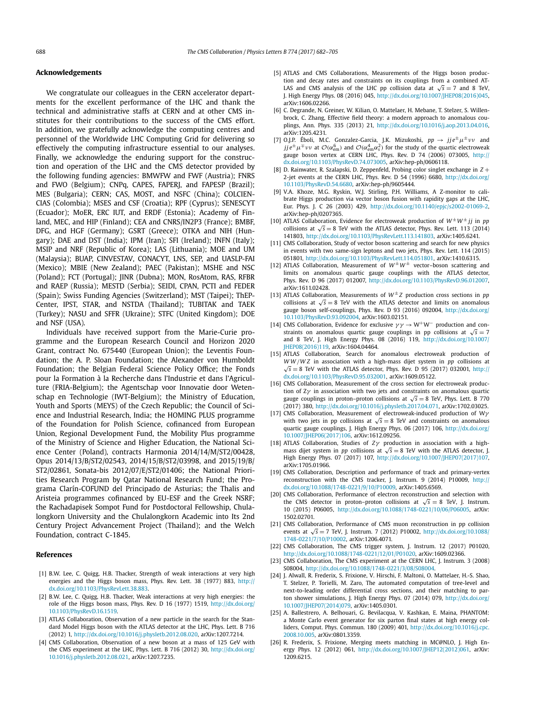#### <span id="page-6-0"></span>**Acknowledgements**

We congratulate our colleagues in the CERN accelerator departments for the excellent performance of the LHC and thank the technical and administrative staffs at CERN and at other CMS institutes for their contributions to the success of the CMS effort. In addition, we gratefully acknowledge the computing centres and personnel of the Worldwide LHC Computing Grid for delivering so effectively the computing infrastructure essential to our analyses. Finally, we acknowledge the enduring support for the construction and operation of the LHC and the CMS detector provided by the following funding agencies: BMWFW and FWF (Austria); FNRS and FWO (Belgium); CNPq, CAPES, FAPERJ, and FAPESP (Brazil); MES (Bulgaria); CERN; CAS, MOST, and NSFC (China); COLCIEN-CIAS (Colombia); MSES and CSF (Croatia); RPF (Cyprus); SENESCYT (Ecuador); MoER, ERC IUT, and ERDF (Estonia); Academy of Finland, MEC, and HIP (Finland); CEA and CNRS/IN2P3 (France); BMBF, DFG, and HGF (Germany); GSRT (Greece); OTKA and NIH (Hungary); DAE and DST (India); IPM (Iran); SFI (Ireland); INFN (Italy); MSIP and NRF (Republic of Korea); LAS (Lithuania); MOE and UM (Malaysia); BUAP, CINVESTAV, CONACYT, LNS, SEP, and UASLP-FAI (Mexico); MBIE (New Zealand); PAEC (Pakistan); MSHE and NSC (Poland); FCT (Portugal); JINR (Dubna); MON, RosAtom, RAS, RFBR and RAEP (Russia); MESTD (Serbia); SEIDI, CPAN, PCTI and FEDER (Spain); Swiss Funding Agencies (Switzerland); MST (Taipei); ThEP-Center, IPST, STAR, and NSTDA (Thailand); TUBITAK and TAEK (Turkey); NASU and SFFR (Ukraine); STFC (United Kingdom); DOE and NSF (USA).

Individuals have received support from the Marie-Curie programme and the European Research Council and Horizon 2020 Grant, contract No. 675440 (European Union); the Leventis Foundation; the A. P. Sloan Foundation; the Alexander von Humboldt Foundation; the Belgian Federal Science Policy Office; the Fonds pour la Formation à la Recherche dans l'Industrie et dans l'Agriculture (FRIA-Belgium); the Agentschap voor Innovatie door Wetenschap en Technologie (IWT-Belgium); the Ministry of Education, Youth and Sports (MEYS) of the Czech Republic; the Council of Science and Industrial Research, India; the HOMING PLUS programme of the Foundation for Polish Science, cofinanced from European Union, Regional Development Fund, the Mobility Plus programme of the Ministry of Science and Higher Education, the National Science Center (Poland), contracts Harmonia 2014/14/M/ST2/00428, Opus 2014/13/B/ST2/02543, 2014/15/B/ST2/03998, and 2015/19/B/ ST2/02861, Sonata-bis 2012/07/E/ST2/01406; the National Priorities Research Program by Qatar National Research Fund; the Programa Clarín-COFUND del Principado de Asturias; the Thalis and Aristeia programmes cofinanced by EU-ESF and the Greek NSRF; the Rachadapisek Sompot Fund for Postdoctoral Fellowship, Chulalongkorn University and the Chulalongkorn Academic into Its 2nd Century Project Advancement Project (Thailand); and the Welch Foundation, contract C-1845.

#### **References**

- [1] B.W. Lee, C. Quigg, H.B. Thacker, Strength of weak interactions at very high energies and the Higgs boson mass, Phys. Rev. Lett. 38 (1977) 883, [http://](http://dx.doi.org/10.1103/PhysRevLett.38.883) [dx.doi.org/10.1103/PhysRevLett.38.883.](http://dx.doi.org/10.1103/PhysRevLett.38.883)
- [2] B.W. Lee, C. Quigg, H.B. Thacker, Weak interactions at very high energies: the role of the Higgs boson mass, Phys. Rev. D 16 (1977) 1519, [http://dx.doi.org/](http://dx.doi.org/10.1103/PhysRevD.16.1519) [10.1103/PhysRevD.16.1519.](http://dx.doi.org/10.1103/PhysRevD.16.1519)
- [3] ATLAS Collaboration, Observation of a new particle in the search for the Standard Model Higgs boson with the ATLAS detector at the LHC, Phys. Lett. B 716 (2012) 1, <http://dx.doi.org/10.1016/j.physletb.2012.08.020>, arXiv:1207.7214.
- [4] CMS Collaboration, Observation of a new boson at a mass of 125 GeV with the CMS experiment at the LHC, Phys. Lett. B 716 (2012) 30, [http://dx.doi.org/](http://dx.doi.org/10.1016/j.physletb.2012.08.021) [10.1016/j.physletb.2012.08.021,](http://dx.doi.org/10.1016/j.physletb.2012.08.021) arXiv:1207.7235.
- [5] ATLAS and CMS Collaborations, Measurements of the Higgs boson production and decay rates and constraints on its couplings from a combined AT-LAS and CMS analysis of the LHC pp collision data at  $\sqrt{s} = 7$  and 8 TeV, J. High Energy Phys. 08 (2016) 045, [http://dx.doi.org/10.1007/JHEP08\(2016\)045](http://dx.doi.org/10.1007/JHEP08(2016)045), arXiv:1606.02266.
- [6] C. Degrande, N. Greiner, W. Kilian, O. Mattelaer, H. Mebane, T. Stelzer, S. Willenbrock, C. Zhang, Effective field theory: a modern approach to anomalous couplings, Ann. Phys. 335 (2013) 21, <http://dx.doi.org/10.1016/j.aop.2013.04.016>, arXiv:1205.4231.
- [7] O.J.P. Éboli, M.C. Gonzalez-Garcia, J.K. Mizukoshi, *pp* → *jj <sup>e</sup>*<sup>±</sup>*μ*±*νν* and *jj*  $e^{\pm}$ *μ*<sup> $\mp$ </sup>*νν* at  $\mathcal{O}(\alpha_{em}^6)$  and  $\mathcal{O}(\alpha_{em}^4 \alpha_s^2)$  for the study of the quartic electroweak gauge boson vertex at CERN LHC, Phys. Rev. D 74 (2006) 073005, [http://](http://dx.doi.org/10.1103/PhysRevD.74.073005) [dx.doi.org/10.1103/PhysRevD.74.073005](http://dx.doi.org/10.1103/PhysRevD.74.073005), arXiv:hep-ph/0606118.
- [8] D. Rainwater, R. Szalapski, D. Zeppenfeld, Probing color singlet exchange in *Z* + 2-jet events at the CERN LHC, Phys. Rev. D 54 (1996) 6680, [http://dx.doi.org/](http://dx.doi.org/10.1103/PhysRevD.54.6680) [10.1103/PhysRevD.54.6680](http://dx.doi.org/10.1103/PhysRevD.54.6680), arXiv:hep-ph/9605444.
- [9] V.A. Khoze, M.G. Ryskin, W.J. Stirling, P.H. Williams, A Z-monitor to calibrate Higgs production via vector boson fusion with rapidity gaps at the LHC, Eur. Phys. J. C 26 (2003) 429, <http://dx.doi.org/10.1140/epjc/s2002-01069-2>, arXiv:hep-ph/0207365.
- [10] ATLAS Collaboration, Evidence for electroweak production of  $W^{\pm}W^{\pm}jj$  in *pp* collisions at  $\sqrt{s} = 8$  TeV with the ATLAS detector, Phys. Rev. Lett. 113 (2014) 141803, [http://dx.doi.org/10.1103/PhysRevLett.113.141803,](http://dx.doi.org/10.1103/PhysRevLett.113.141803) arXiv:1405.6241.
- [11] CMS Collaboration, Study of vector boson scattering and search for new physics in events with two same-sign leptons and two jets, Phys. Rev. Lett. 114 (2015) 051801, [http://dx.doi.org/10.1103/PhysRevLett.114.051801,](http://dx.doi.org/10.1103/PhysRevLett.114.051801) arXiv:1410.6315.
- [12] ATLAS Collaboration, Measurement of  $W^{\pm}W^{\pm}$  vector-boson scattering and limits on anomalous quartic gauge couplings with the ATLAS detector, Phys. Rev. D 96 (2017) 012007, <http://dx.doi.org/10.1103/PhysRevD.96.012007>, arXiv:1611.02428.
- [13] ATLAS Collaboration, Measurements of  $W^{\pm}Z$  production cross sections in *pp* collisions at  $\sqrt{s} = 8$  TeV with the ATLAS detector and limits on anomalous gauge boson self-couplings, Phys. Rev. D 93 (2016) 092004, [http://dx.doi.org/](http://dx.doi.org/10.1103/PhysRevD.93.092004) [10.1103/PhysRevD.93.092004,](http://dx.doi.org/10.1103/PhysRevD.93.092004) arXiv:1603.02151.
- [14] CMS Collaboration, Evidence for exclusive  $\gamma\gamma \rightarrow W^{+}W^{-}$  production and constraints on anomalous quartic gauge couplings in pp collisions at  $\sqrt{s} = 7$ and 8 TeV, J. High Energy Phys. 08 (2016) 119, [http://dx.doi.org/10.1007/](http://dx.doi.org/10.1007/JHEP08(2016)119) [JHEP08\(2016\)119](http://dx.doi.org/10.1007/JHEP08(2016)119), arXiv:1604.04464.
- [15] ATLAS Collaboration, Search for anomalous electroweak production of *WW* /*WZ* in association with a high-mass dijet system in *pp* collisions at  $\sqrt{s} = 8$  TeV with the ATLAS detector, Phys. Rev. D 95 (2017) 032001, [http://](http://dx.doi.org/10.1103/PhysRevD.95.032001) [dx.doi.org/10.1103/PhysRevD.95.032001](http://dx.doi.org/10.1103/PhysRevD.95.032001), arXiv:1609.05122.
- [16] CMS Collaboration, Measurement of the cross section for electroweak production of Z*γ* in association with two jets and constraints on anomalous quartic gauge couplings in proton–proton collisions at  $\sqrt{s} = 8$  TeV, Phys. Lett. B 770 (2017) 380, <http://dx.doi.org/10.1016/j.physletb.2017.04.071>, arXiv:1702.03025.
- [17] CMS Collaboration, Measurement of electroweak-induced production of W*γ* with two jets in pp collisions at  $\sqrt{s} = 8$  TeV and constraints on anomalous quartic gauge couplings, J. High Energy Phys. 06 (2017) 106, [http://dx.doi.org/](http://dx.doi.org/10.1007/JHEP06(2017)106) [10.1007/JHEP06\(2017\)106,](http://dx.doi.org/10.1007/JHEP06(2017)106) arXiv:1612.09256.
- [18] ATLAS Collaboration, Studies of *Zγ* production in association with a highmass dijet system in *pp* collisions at  $\sqrt{s} = 8$  TeV with the ATLAS detector, J. High Energy Phys. 07 (2017) 107, [http://dx.doi.org/10.1007/JHEP07\(2017\)107](http://dx.doi.org/10.1007/JHEP07(2017)107), arXiv:1705.01966.
- [19] CMS Collaboration, Description and performance of track and primary-vertex reconstruction with the CMS tracker, J. Instrum. 9 (2014) P10009, [http://](http://dx.doi.org/10.1088/1748-0221/9/10/P10009) [dx.doi.org/10.1088/1748-0221/9/10/P10009](http://dx.doi.org/10.1088/1748-0221/9/10/P10009), arXiv:1405.6569.
- [20] CMS Collaboration, Performance of electron reconstruction and selection with the CMS detector in proton–proton collisions at  $\sqrt{s} = 8$  TeV, J. Instrum. 10 (2015) P06005, [http://dx.doi.org/10.1088/1748-0221/10/06/P06005,](http://dx.doi.org/10.1088/1748-0221/10/06/P06005) arXiv: 1502.02701.
- [21] CMS Collaboration, Performance of CMS muon reconstruction in pp collision events at <sup>√</sup>*<sup>s</sup>* <sup>=</sup> 7 TeV, J. Instrum. <sup>7</sup> (2012) P10002, [http://dx.doi.org/10.1088/](http://dx.doi.org/10.1088/1748-0221/7/10/P10002) [1748-0221/7/10/P10002](http://dx.doi.org/10.1088/1748-0221/7/10/P10002), arXiv:1206.4071.
- [22] CMS Collaboration, The CMS trigger system, J. Instrum. 12 (2017) P01020, [http://dx.doi.org/10.1088/1748-0221/12/01/P01020,](http://dx.doi.org/10.1088/1748-0221/12/01/P01020) arXiv:1609.02366.
- [23] CMS Collaboration, The CMS experiment at the CERN LHC, J. Instrum. 3 (2008) S08004, <http://dx.doi.org/10.1088/1748-0221/3/08/S08004>.
- [24] J. Alwall, R. Frederix, S. Frixione, V. Hirschi, F. Maltoni, O. Mattelaer, H.-S. Shao, T. Stelzer, P. Torielli, M. Zaro, The automated computation of tree-level and next-to-leading order differential cross sections, and their matching to parton shower simulations, J. High Energy Phys. 07 (2014) 079, [http://dx.doi.org/](http://dx.doi.org/10.1007/JHEP07(2014)079) [10.1007/JHEP07\(2014\)079,](http://dx.doi.org/10.1007/JHEP07(2014)079) arXiv:1405.0301.
- [25] A. Ballestrero, A. Belhouari, G. Bevilacqua, V. Kashkan, E. Maina, PHANTOM: a Monte Carlo event generator for six parton final states at high energy colliders, Comput. Phys. Commun. 180 (2009) 401, [http://dx.doi.org/10.1016/j.cpc.](http://dx.doi.org/10.1016/j.cpc.2008.10.005) [2008.10.005](http://dx.doi.org/10.1016/j.cpc.2008.10.005), arXiv:0801.3359.
- [26] R. Frederix, S. Frixione, Merging meets matching in MC@NLO, J. High Energy Phys. 12 (2012) 061, [http://dx.doi.org/10.1007/JHEP12\(2012\)061,](http://dx.doi.org/10.1007/JHEP12(2012)061) arXiv: 1209.6215.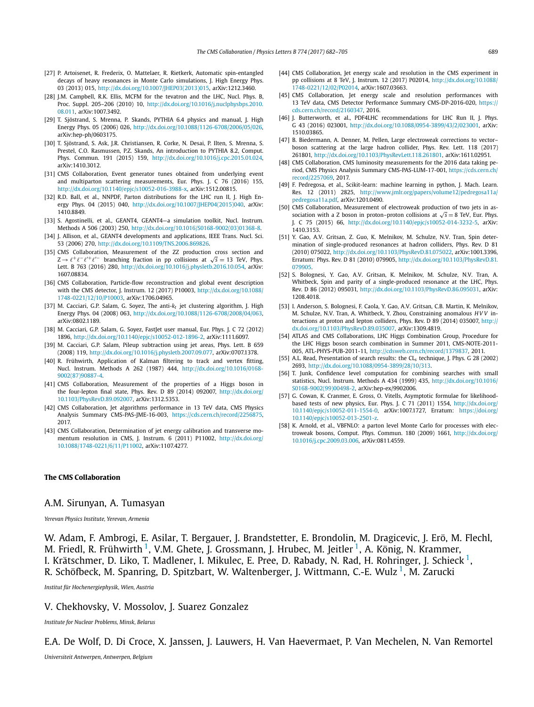- <span id="page-7-0"></span>[27] P. Artoisenet, R. Frederix, O. Mattelaer, R. Rietkerk, Automatic spin-entangled decays of heavy resonances in Monte Carlo simulations, J. High Energy Phys. 03 (2013) 015, [http://dx.doi.org/10.1007/JHEP03\(2013\)015](http://dx.doi.org/10.1007/JHEP03(2013)015), arXiv:1212.3460.
- [28] J.M. Campbell, R.K. Ellis, MCFM for the tevatron and the LHC, Nucl. Phys. B, Proc. Suppl. 205–206 (2010) 10, [http://dx.doi.org/10.1016/j.nuclphysbps.2010.](http://dx.doi.org/10.1016/j.nuclphysbps.2010.08.011) [08.011](http://dx.doi.org/10.1016/j.nuclphysbps.2010.08.011), arXiv:1007.3492.
- [29] T. Sjöstrand, S. Mrenna, P. Skands, PYTHIA 6.4 physics and manual, J. High Energy Phys. 05 (2006) 026, [http://dx.doi.org/10.1088/1126-6708/2006/05/026,](http://dx.doi.org/10.1088/1126-6708/2006/05/026) arXiv:hep-ph/0603175.
- [30] T. Sjöstrand, S. Ask, J.R. Christiansen, R. Corke, N. Desai, P. Ilten, S. Mrenna, S. Prestel, C.O. Rasmussen, P.Z. Skands, An introduction to PYTHIA 8.2, Comput. Phys. Commun. 191 (2015) 159, <http://dx.doi.org/10.1016/j.cpc.2015.01.024>, arXiv:1410.3012.
- [31] CMS Collaboration, Event generator tunes obtained from underlying event and multiparton scattering measurements, Eur. Phys. J. C 76 (2016) 155, [http://dx.doi.org/10.1140/epjc/s10052-016-3988-x,](http://dx.doi.org/10.1140/epjc/s10052-016-3988-x) arXiv:1512.00815.
- [32] R.D. Ball, et al., NNPDF, Parton distributions for the LHC run II, J. High Energy Phys. 04 (2015) 040, [http://dx.doi.org/10.1007/JHEP04\(2015\)040,](http://dx.doi.org/10.1007/JHEP04(2015)040) arXiv: 1410.8849.
- [33] S. Agostinelli, et al., GEANT4, GEANT4-a simulation toolkit, Nucl. Instrum. Methods A 506 (2003) 250, [http://dx.doi.org/10.1016/S0168-9002\(03\)01368-8](http://dx.doi.org/10.1016/S0168-9002(03)01368-8).
- [34] J. Allison, et al., GEANT4 developments and applications, IEEE Trans. Nucl. Sci. 53 (2006) 270, [http://dx.doi.org/10.1109/TNS.2006.869826.](http://dx.doi.org/10.1109/TNS.2006.869826)
- [35] CMS Collaboration, Measurement of the ZZ production cross section and  $Z \rightarrow \ell^+\ell^-\ell'^+\ell'^-$  branching fraction in pp collisions at  $\sqrt{s} = 13$  TeV, Phys. Lett. B 763 (2016) 280, [http://dx.doi.org/10.1016/j.physletb.2016.10.054,](http://dx.doi.org/10.1016/j.physletb.2016.10.054) arXiv: 1607.08834.
- [36] CMS Collaboration, Particle-flow reconstruction and global event description with the CMS detector, J. Instrum. 12 (2017) P10003, [http://dx.doi.org/10.1088/](http://dx.doi.org/10.1088/1748-0221/12/10/P10003) [1748-0221/12/10/P10003,](http://dx.doi.org/10.1088/1748-0221/12/10/P10003) arXiv:1706.04965.
- [37] M. Cacciari, G.P. Salam, G. Soyez, The anti-*kt* jet clustering algorithm, J. High Energy Phys. 04 (2008) 063, [http://dx.doi.org/10.1088/1126-6708/2008/04/063,](http://dx.doi.org/10.1088/1126-6708/2008/04/063) arXiv:0802.1189.
- [38] M. Cacciari, G.P. Salam, G. Soyez, FastJet user manual, Eur. Phys. J. C 72 (2012) 1896, [http://dx.doi.org/10.1140/epjc/s10052-012-1896-2,](http://dx.doi.org/10.1140/epjc/s10052-012-1896-2) arXiv:1111.6097.
- [39] M. Cacciari, G.P. Salam, Pileup subtraction using jet areas, Phys. Lett. B 659 (2008) 119, <http://dx.doi.org/10.1016/j.physletb.2007.09.077>, arXiv:0707.1378.
- [40] R. Frühwirth, Application of Kalman filtering to track and vertex fitting, Nucl. Instrum. Methods A 262 (1987) 444, [http://dx.doi.org/10.1016/0168-](http://dx.doi.org/10.1016/0168-9002(87)90887-4) [9002\(87\)90887-4.](http://dx.doi.org/10.1016/0168-9002(87)90887-4)
- [41] CMS Collaboration, Measurement of the properties of a Higgs boson in the four-lepton final state, Phys. Rev. D 89 (2014) 092007, [http://dx.doi.org/](http://dx.doi.org/10.1103/PhysRevD.89.092007) [10.1103/PhysRevD.89.092007,](http://dx.doi.org/10.1103/PhysRevD.89.092007) arXiv:1312.5353.
- [42] CMS Collaboration, Jet algorithms performance in 13 TeV data, CMS Physics Analysis Summary CMS-PAS-JME-16-003, <https://cds.cern.ch/record/2256875>, 2017.
- [43] CMS Collaboration, Determination of jet energy calibration and transverse momentum resolution in CMS, J. Instrum. 6 (2011) P11002, [http://dx.doi.org/](http://dx.doi.org/10.1088/1748-0221/6/11/P11002) [10.1088/1748-0221/6/11/P11002](http://dx.doi.org/10.1088/1748-0221/6/11/P11002), arXiv:1107.4277.
- [44] CMS Collaboration, Jet energy scale and resolution in the CMS experiment in pp collisions at 8 TeV, J. Instrum. 12 (2017) P02014, [http://dx.doi.org/10.1088/](http://dx.doi.org/10.1088/1748-0221/12/02/P02014) [1748-0221/12/02/P02014,](http://dx.doi.org/10.1088/1748-0221/12/02/P02014) arXiv:1607.03663.
- [45] CMS Collaboration, Jet energy scale and resolution performances with 13 TeV data, CMS Detector Performance Summary CMS-DP-2016-020, [https://](https://cds.cern.ch/record/2160347) [cds.cern.ch/record/2160347,](https://cds.cern.ch/record/2160347) 2016.
- [46] J. Butterworth, et al., PDF4LHC recommendations for LHC Run II, J. Phys. G 43 (2016) 023001, <http://dx.doi.org/10.1088/0954-3899/43/2/023001>, arXiv: 1510.03865.
- [47] B. Biedermann, A. Denner, M. Pellen, Large electroweak corrections to vector– boson scattering at the large hadron collider, Phys. Rev. Lett. 118 (2017) 261801, <http://dx.doi.org/10.1103/PhysRevLett.118.261801>, arXiv:1611.02951.
- [48] CMS Collaboration, CMS luminosity measurements for the 2016 data taking period, CMS Physics Analysis Summary CMS-PAS-LUM-17-001, [https://cds.cern.ch/](https://cds.cern.ch/record/2257069) [record/2257069](https://cds.cern.ch/record/2257069), 2017.
- [49] F. Pedregosa, et al., Scikit-learn: machine learning in python, J. Mach. Learn. Res. 12 (2011) 2825, [http://www.jmlr.org/papers/volume12/pedregosa11a/](http://www.jmlr.org/papers/volume12/pedregosa11a/pedregosa11a.pdf) [pedregosa11a.pdf](http://www.jmlr.org/papers/volume12/pedregosa11a/pedregosa11a.pdf), arXiv:1201.0490.
- [50] CMS Collaboration, Measurement of electroweak production of two jets in association with a Z boson in proton–proton collisions at  $\sqrt{s} = 8$  TeV, Eur. Phys. J. C 75 (2015) 66, <http://dx.doi.org/10.1140/epjc/s10052-014-3232-5>, arXiv: 1410.3153.
- [51] Y. Gao, A.V. Gritsan, Z. Guo, K. Melnikov, M. Schulze, N.V. Tran, Spin determination of single-produced resonances at hadron colliders, Phys. Rev. D 81 (2010) 075022, [http://dx.doi.org/10.1103/PhysRevD.81.075022,](http://dx.doi.org/10.1103/PhysRevD.81.075022) arXiv:1001.3396, Erratum: Phys. Rev. D 81 (2010) 079905, [http://dx.doi.org/10.1103/PhysRevD.81.](http://dx.doi.org/10.1103/PhysRevD.81.079905) [079905.](http://dx.doi.org/10.1103/PhysRevD.81.079905)
- [52] S. Bolognesi, Y. Gao, A.V. Gritsan, K. Melnikov, M. Schulze, N.V. Tran, A. Whitbeck, Spin and parity of a single-produced resonance at the LHC, Phys. Rev. D 86 (2012) 095031, <http://dx.doi.org/10.1103/PhysRevD.86.095031>, arXiv: 1208.4018.
- [53] I. Anderson, S. Bolognesi, F. Caola, Y. Gao, A.V. Gritsan, C.B. Martin, K. Melnikov, M. Schulze, N.V. Tran, A. Whitbeck, Y. Zhou, Constraining anomalous *HVV* interactions at proton and lepton colliders, Phys. Rev. D 89 (2014) 035007, [http://](http://dx.doi.org/10.1103/PhysRevD.89.035007) [dx.doi.org/10.1103/PhysRevD.89.035007](http://dx.doi.org/10.1103/PhysRevD.89.035007), arXiv:1309.4819.
- [54] ATLAS and CMS Collaborations, LHC Higgs Combination Group, Procedure for the LHC Higgs boson search combination in Summer 2011, CMS-NOTE-2011- 005, ATL-PHYS-PUB-2011-11, <http://cdsweb.cern.ch/record/1379837>, 2011.
- [55] A.L. Read, Presentation of search results: the CL<sub>s</sub> technique, J. Phys. G 28 (2002) 2693, <http://dx.doi.org/10.1088/0954-3899/28/10/313>.
- [56] T. Junk, Confidence level computation for combining searches with small statistics, Nucl. Instrum. Methods A 434 (1999) 435, [http://dx.doi.org/10.1016/](http://dx.doi.org/10.1016/S0168-9002(99)00498-2) [S0168-9002\(99\)00498-2](http://dx.doi.org/10.1016/S0168-9002(99)00498-2), arXiv:hep-ex/9902006.
- [57] G. Cowan, K. Cranmer, E. Gross, O. Vitells, Asymptotic formulae for likelihoodbased tests of new physics, Eur. Phys. J. C 71 (2011) 1554, [http://dx.doi.org/](http://dx.doi.org/10.1140/epjc/s10052-011-1554-0) [10.1140/epjc/s10052-011-1554-0](http://dx.doi.org/10.1140/epjc/s10052-011-1554-0), arXiv:1007.1727, Erratum: [https://doi.org/](https://doi.org/10.1140/epjc/s10052-013-2501-z) [10.1140/epjc/s10052-013-2501-z.](https://doi.org/10.1140/epjc/s10052-013-2501-z)
- [58] K. Arnold, et al., VBFNLO: a parton level Monte Carlo for processes with electroweak bosons, Comput. Phys. Commun. 180 (2009) 1661, [http://dx.doi.org/](http://dx.doi.org/10.1016/j.cpc.2009.03.006) [10.1016/j.cpc.2009.03.006,](http://dx.doi.org/10.1016/j.cpc.2009.03.006) arXiv:0811.4559.

#### **The CMS Collaboration**

#### A.M. Sirunyan, A. Tumasyan

*Yerevan Physics Institute, Yerevan, Armenia*

W. Adam, F. Ambrogi, E. Asilar, T. Bergauer, J. Brandstetter, E. Brondolin, M. Dragicevic, J. Erö, M. Flechl, M. Friedl, R. Frühwirth <sup>1</sup>, V.M. Ghete, J. Grossmann, J. Hrubec, M. Jeitler <sup>1</sup>, A. König, N. Krammer, I. Krätschmer, D. Liko, T. Madlener, I. Mikulec, E. Pree, D. Rabady, N. Rad, H. Rohringer, J. Schieck<sup>1</sup>, R. Schöfbeck, M. Spanring, D. Spitzbart, W. Waltenberger, J. Wittmann, C.-E. Wulz<sup>1</sup>, M. Zarucki

*Institut für Hochenergiephysik, Wien, Austria*

### V. Chekhovsky, V. Mossolov, J. Suarez Gonzalez

*Institute for Nuclear Problems, Minsk, Belarus*

E.A. De Wolf, D. Di Croce, X. Janssen, J. Lauwers, H. Van Haevermaet, P. Van Mechelen, N. Van Remortel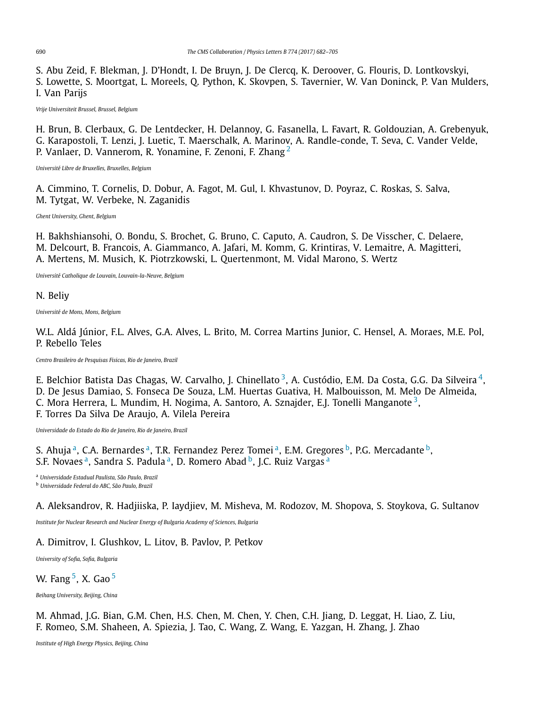S. Abu Zeid, F. Blekman, J. D'Hondt, I. De Bruyn, J. De Clercq, K. Deroover, G. Flouris, D. Lontkovskyi, S. Lowette, S. Moortgat, L. Moreels, Q. Python, K. Skovpen, S. Tavernier, W. Van Doninck, P. Van Mulders, I. Van Parijs

*Vrije Universiteit Brussel, Brussel, Belgium*

H. Brun, B. Clerbaux, G. De Lentdecker, H. Delannoy, G. Fasanella, L. Favart, R. Goldouzian, A. Grebenyuk, G. Karapostoli, T. Lenzi, J. Luetic, T. Maerschalk, A. Marinov, A. Randle-conde, T. Seva, C. Vander Velde, P. Vanlaer, D. Vannerom, R. Yonamine, F. Zenoni, F. Zhang  $2$ 

*Université Libre de Bruxelles, Bruxelles, Belgium*

A. Cimmino, T. Cornelis, D. Dobur, A. Fagot, M. Gul, I. Khvastunov, D. Poyraz, C. Roskas, S. Salva, M. Tytgat, W. Verbeke, N. Zaganidis

*Ghent University, Ghent, Belgium*

H. Bakhshiansohi, O. Bondu, S. Brochet, G. Bruno, C. Caputo, A. Caudron, S. De Visscher, C. Delaere, M. Delcourt, B. Francois, A. Giammanco, A. Jafari, M. Komm, G. Krintiras, V. Lemaitre, A. Magitteri, A. Mertens, M. Musich, K. Piotrzkowski, L. Quertenmont, M. Vidal Marono, S. Wertz

*Université Catholique de Louvain, Louvain-la-Neuve, Belgium*

N. Beliy

*Université de Mons, Mons, Belgium*

W.L. Aldá Júnior, F.L. Alves, G.A. Alves, L. Brito, M. Correa Martins Junior, C. Hensel, A. Moraes, M.E. Pol, P. Rebello Teles

*Centro Brasileiro de Pesquisas Fisicas, Rio de Janeiro, Brazil*

E. Belchior Batista Das Chagas, W. Carvalho, J. Chinellato<sup>3</sup>, A. Custódio, E.M. Da Costa, G.G. Da Silveira<sup>4</sup>, D. De Jesus Damiao, S. Fonseca De Souza, L.M. Huertas Guativa, H. Malbouisson, M. Melo De Almeida, C. Mora Herrera, L. Mundim, H. Nogima, A. Santoro, A. Sznajder, E.J. Tonelli Manganote [3](#page-22-0), F. Torres Da Silva De Araujo, A. Vilela Pereira

*Universidade do Estado do Rio de Janeiro, Rio de Janeiro, Brazil*

S. Ahuja<sup>a</sup>, C.A. Bernardes<sup>a</sup>, T.R. Fernandez Perez Tomei<sup>a</sup>, E.M. Gregores<sup>b</sup>, P.G. Mercadante<sup>b</sup>, S.F. Novaes<sup>a</sup>, Sandra S. Padula<sup>a</sup>, D. Romero Abad <sup>b</sup>, I.C. Ruiz Vargas<sup>a</sup>

<sup>a</sup> *Universidade Estadual Paulista, São Paulo, Brazil* <sup>b</sup> *Universidade Federal do ABC, São Paulo, Brazil*

A. Aleksandrov, R. Hadjiiska, P. Iaydjiev, M. Misheva, M. Rodozov, M. Shopova, S. Stoykova, G. Sultanov

*Institute for Nuclear Research and Nuclear Energy of Bulgaria Academy of Sciences, Bulgaria*

A. Dimitrov, I. Glushkov, L. Litov, B. Pavlov, P. Petkov

*University of Sofia, Sofia, Bulgaria*

W. Fang  $5$ , X. Gao  $5$ 

*Beihang University, Beijing, China*

M. Ahmad, J.G. Bian, G.M. Chen, H.S. Chen, M. Chen, Y. Chen, C.H. Jiang, D. Leggat, H. Liao, Z. Liu, F. Romeo, S.M. Shaheen, A. Spiezia, J. Tao, C. Wang, Z. Wang, E. Yazgan, H. Zhang, J. Zhao

*Institute of High Energy Physics, Beijing, China*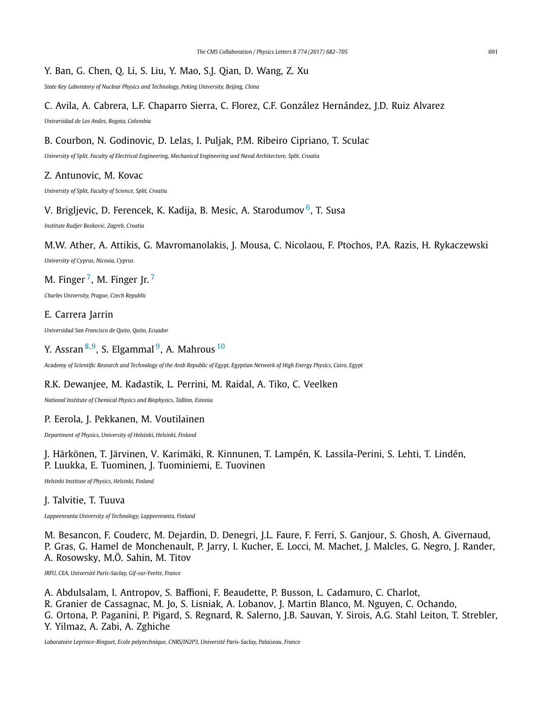### Y. Ban, G. Chen, Q. Li, S. Liu, Y. Mao, S.J. Qian, D. Wang, Z. Xu

*State Key Laboratory of Nuclear Physics and Technology, Peking University, Beijing, China*

### C. Avila, A. Cabrera, L.F. Chaparro Sierra, C. Florez, C.F. González Hernández, J.D. Ruiz Alvarez

*Universidad de Los Andes, Bogota, Colombia*

### B. Courbon, N. Godinovic, D. Lelas, I. Puljak, P.M. Ribeiro Cipriano, T. Sculac

*University of Split, Faculty of Electrical Engineering, Mechanical Engineering and Naval Architecture, Split, Croatia*

### Z. Antunovic, M. Kovac

*University of Split, Faculty of Science, Split, Croatia*

### V. Brigljevic, D. Ferencek, K. Kadija, B. Mesic. A. Starodumov<sup>6</sup>. T. Susa

*Institute Rudjer Boskovic, Zagreb, Croatia*

# M.W. Ather, A. Attikis, G. Mavromanolakis, J. Mousa, C. Nicolaou, F. Ptochos, P.A. Razis, H. Rykaczewski

*University of Cyprus, Nicosia, Cyprus*

### M. Finger<sup>[7](#page-22-0)</sup>, M. Finger Ir.<sup>7</sup>

*Charles University, Prague, Czech Republic*

### E. Carrera Jarrin

*Universidad San Francisco de Quito, Quito, Ecuador*

### Y. Assran <sup>[8](#page-22-0), 9</sup>, S. Elgammal <sup>9</sup>, A. Mahrous <sup>[10](#page-22-0)</sup>

Academy of Scientific Research and Technology of the Arab Republic of Egypt, Egyptian Network of High Energy Physics, Cairo, Egypt

### R.K. Dewanjee, M. Kadastik, L. Perrini, M. Raidal, A. Tiko, C. Veelken

*National Institute of Chemical Physics and Biophysics, Tallinn, Estonia*

### P. Eerola, J. Pekkanen, M. Voutilainen

*Department of Physics, University of Helsinki, Helsinki, Finland*

### J. Härkönen, T. Järvinen, V. Karimäki, R. Kinnunen, T. Lampén, K. Lassila-Perini, S. Lehti, T. Lindén, P. Luukka, E. Tuominen, J. Tuominiemi, E. Tuovinen

*Helsinki Institute of Physics, Helsinki, Finland*

### J. Talvitie, T. Tuuva

*Lappeenranta University of Technology, Lappeenranta, Finland*

M. Besancon, F. Couderc, M. Dejardin, D. Denegri, J.L. Faure, F. Ferri, S. Ganjour, S. Ghosh, A. Givernaud, P. Gras, G. Hamel de Monchenault, P. Jarry, I. Kucher, E. Locci, M. Machet, J. Malcles, G. Negro, J. Rander, A. Rosowsky, M.Ö. Sahin, M. Titov

*IRFU, CEA, Université Paris-Saclay, Gif-sur-Yvette, France*

A. Abdulsalam, I. Antropov, S. Baffioni, F. Beaudette, P. Busson, L. Cadamuro, C. Charlot, R. Granier de Cassagnac, M. Jo, S. Lisniak, A. Lobanov, J. Martin Blanco, M. Nguyen, C. Ochando, G. Ortona, P. Paganini, P. Pigard, S. Regnard, R. Salerno, J.B. Sauvan, Y. Sirois, A.G. Stahl Leiton, T. Strebler, Y. Yilmaz, A. Zabi, A. Zghiche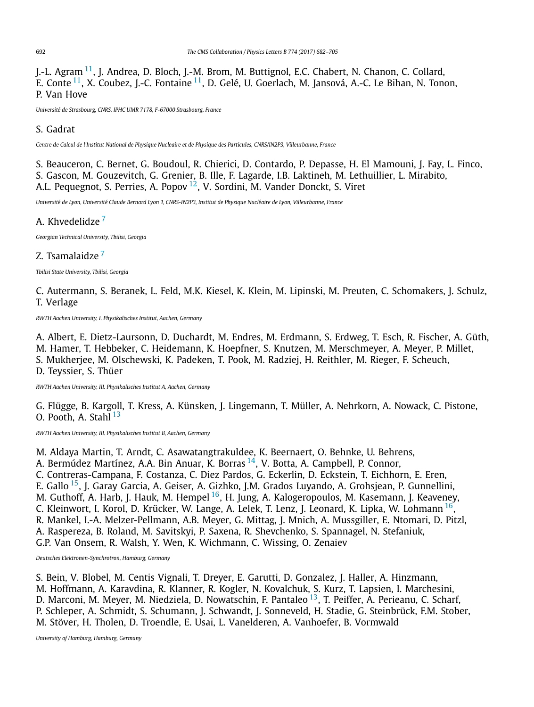J.-L. Agram<sup>11</sup>, J. Andrea, D. Bloch, J.-M. Brom, M. Buttignol, E.C. Chabert, N. Chanon, C. Collard, E. Conte [11,](#page-22-0) X. Coubez, J.-C. Fontaine [11,](#page-22-0) D. Gelé, U. Goerlach, M. Jansová, A.-C. Le Bihan, N. Tonon, P. Van Hove

*Université de Strasbourg, CNRS, IPHC UMR 7178, F-67000 Strasbourg, France*

### S. Gadrat

Centre de Calcul de l'Institut National de Physique Nucleaire et de Physique des Particules, CNRS/IN2P3, Villeurbanne, France

S. Beauceron, C. Bernet, G. Boudoul, R. Chierici, D. Contardo, P. Depasse, H. El Mamouni, J. Fay, L. Finco, S. Gascon, M. Gouzevitch, G. Grenier, B. Ille, F. Lagarde, I.B. Laktineh, M. Lethuillier, L. Mirabito, A.L. Pequegnot, S. Perries, A. Popov  $12$ , V. Sordini, M. Vander Donckt, S. Viret

Université de Lvon. Université Claude Bernard Lvon 1. CNRS-IN2P3. Institut de Physiaue Nucléaire de Lvon. Villeurbanne. France

### A. Khvedelidze<sup>[7](#page-22-0)</sup>

*Georgian Technical University, Tbilisi, Georgia*

### Z. Tsamalaidze<sup>[7](#page-22-0)</sup>

*Tbilisi State University, Tbilisi, Georgia*

C. Autermann, S. Beranek, L. Feld, M.K. Kiesel, K. Klein, M. Lipinski, M. Preuten, C. Schomakers, J. Schulz, T. Verlage

*RWTH Aachen University, I. Physikalisches Institut, Aachen, Germany*

A. Albert, E. Dietz-Laursonn, D. Duchardt, M. Endres, M. Erdmann, S. Erdweg, T. Esch, R. Fischer, A. Güth, M. Hamer, T. Hebbeker, C. Heidemann, K. Hoepfner, S. Knutzen, M. Merschmeyer, A. Meyer, P. Millet, S. Mukherjee, M. Olschewski, K. Padeken, T. Pook, M. Radziej, H. Reithler, M. Rieger, F. Scheuch, D. Teyssier, S. Thüer

*RWTH Aachen University, III. Physikalisches Institut A, Aachen, Germany*

G. Flügge, B. Kargoll, T. Kress, A. Künsken, J. Lingemann, T. Müller, A. Nehrkorn, A. Nowack, C. Pistone, O. Pooth, A. Stahl<sup>[13](#page-22-0)</sup>

*RWTH Aachen University, III. Physikalisches Institut B, Aachen, Germany*

M. Aldaya Martin, T. Arndt, C. Asawatangtrakuldee, K. Beernaert, O. Behnke, U. Behrens, A. Bermúdez Martínez, A.A. Bin Anuar, K. Borras <sup>14</sup>, V. Botta, A. Campbell, P. Connor, C. Contreras-Campana, F. Costanza, C. Diez Pardos, G. Eckerlin, D. Eckstein, T. Eichhorn, E. Eren, E. Gallo [15,](#page-22-0) J. Garay Garcia, A. Geiser, A. Gizhko, J.M. Grados Luyando, A. Grohsjean, P. Gunnellini, M. Guthoff, A. Harb, J. Hauk, M. Hempel<sup>16</sup>, H. Jung, A. Kalogeropoulos, M. Kasemann, J. Keaveney, C. Kleinwort, I. Korol, D. Krücker, W. Lange, A. Lelek, T. Lenz, J. Leonard, K. Lipka, W. Lohmann [16,](#page-22-0) R. Mankel, I.-A. Melzer-Pellmann, A.B. Meyer, G. Mittag, J. Mnich, A. Mussgiller, E. Ntomari, D. Pitzl, A. Raspereza, B. Roland, M. Savitskyi, P. Saxena, R. Shevchenko, S. Spannagel, N. Stefaniuk, G.P. Van Onsem, R. Walsh, Y. Wen, K. Wichmann, C. Wissing, O. Zenaiev

*Deutsches Elektronen-Synchrotron, Hamburg, Germany*

S. Bein, V. Blobel, M. Centis Vignali, T. Dreyer, E. Garutti, D. Gonzalez, J. Haller, A. Hinzmann, M. Hoffmann, A. Karavdina, R. Klanner, R. Kogler, N. Kovalchuk, S. Kurz, T. Lapsien, I. Marchesini, D. Marconi, M. Meyer, M. Niedziela, D. Nowatschin, F. Pantaleo <sup>13</sup>, T. Peiffer, A. Perieanu, C. Scharf, P. Schleper, A. Schmidt, S. Schumann, J. Schwandt, J. Sonneveld, H. Stadie, G. Steinbrück, F.M. Stober, M. Stöver, H. Tholen, D. Troendle, E. Usai, L. Vanelderen, A. Vanhoefer, B. Vormwald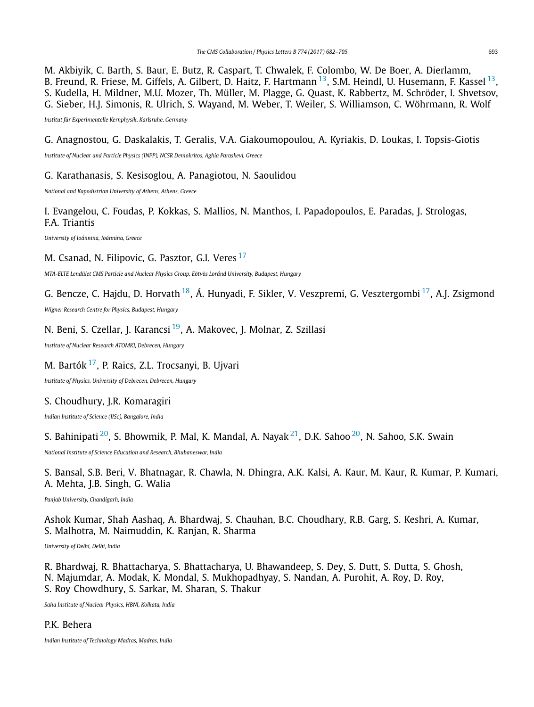M. Akbiyik, C. Barth, S. Baur, E. Butz, R. Caspart, T. Chwalek, F. Colombo, W. De Boer, A. Dierlamm, B. Freund, R. Friese, M. Giffels, A. Gilbert, D. Haitz, F. Hartmann [13,](#page-22-0) S.M. Heindl, U. Husemann, F. Kassel [13,](#page-22-0) S. Kudella, H. Mildner, M.U. Mozer, Th. Müller, M. Plagge, G. Quast, K. Rabbertz, M. Schröder, I. Shvetsov, G. Sieber, H.J. Simonis, R. Ulrich, S. Wayand, M. Weber, T. Weiler, S. Williamson, C. Wöhrmann, R. Wolf

*Institut für Experimentelle Kernphysik, Karlsruhe, Germany*

G. Anagnostou, G. Daskalakis, T. Geralis, V.A. Giakoumopoulou, A. Kyriakis, D. Loukas, I. Topsis-Giotis

*Institute of Nuclear and Particle Physics (INPP), NCSR Demokritos, Aghia Paraskevi, Greece*

G. Karathanasis, S. Kesisoglou, A. Panagiotou, N. Saoulidou

*National and Kapodistrian University of Athens, Athens, Greece*

### I. Evangelou, C. Foudas, P. Kokkas, S. Mallios, N. Manthos, I. Papadopoulos, E. Paradas, J. Strologas, F.A. Triantis

*University of Ioánnina, Ioánnina, Greece*

### M. Csanad, N. Filipovic, G. Pasztor, G.I. Veres<sup>[17](#page-22-0)</sup>

*MTA-ELTE Lendület CMS Particle and Nuclear Physics Group, Eötvös Loránd University, Budapest, Hungary*

G. Bencze, C. Hajdu, D. Horvath [18,](#page-22-0) Á. Hunyadi, F. Sikler, V. Veszpremi, G. Vesztergombi [17,](#page-22-0) A.J. Zsigmond

*Wigner Research Centre for Physics, Budapest, Hungary*

### N. Beni, S. Czellar, J. Karancsi [19,](#page-22-0) A. Makovec, J. Molnar, Z. Szillasi

*Institute of Nuclear Research ATOMKI, Debrecen, Hungary*

### M. Bartók [17,](#page-22-0) P. Raics, Z.L. Trocsanyi, B. Ujvari

*Institute of Physics, University of Debrecen, Debrecen, Hungary*

### S. Choudhury, J.R. Komaragiri

*Indian Institute of Science (IISc), Bangalore, India*

### S. Bahinipati <sup>[20](#page-22-0)</sup>, S. Bhowmik, P. Mal, K. Mandal, A. Nayak <sup>21</sup>, D.K. Sahoo <sup>20</sup>, N. Sahoo, S.K. Swain

*National Institute of Science Education and Research, Bhubaneswar, India*

S. Bansal, S.B. Beri, V. Bhatnagar, R. Chawla, N. Dhingra, A.K. Kalsi, A. Kaur, M. Kaur, R. Kumar, P. Kumari, A. Mehta, J.B. Singh, G. Walia

*Panjab University, Chandigarh, India*

Ashok Kumar, Shah Aashaq, A. Bhardwaj, S. Chauhan, B.C. Choudhary, R.B. Garg, S. Keshri, A. Kumar, S. Malhotra, M. Naimuddin, K. Ranjan, R. Sharma

*University of Delhi, Delhi, India*

R. Bhardwaj, R. Bhattacharya, S. Bhattacharya, U. Bhawandeep, S. Dey, S. Dutt, S. Dutta, S. Ghosh, N. Majumdar, A. Modak, K. Mondal, S. Mukhopadhyay, S. Nandan, A. Purohit, A. Roy, D. Roy, S. Roy Chowdhury, S. Sarkar, M. Sharan, S. Thakur

*Saha Institute of Nuclear Physics, HBNI, Kolkata, India*

### P.K. Behera

*Indian Institute of Technology Madras, Madras, India*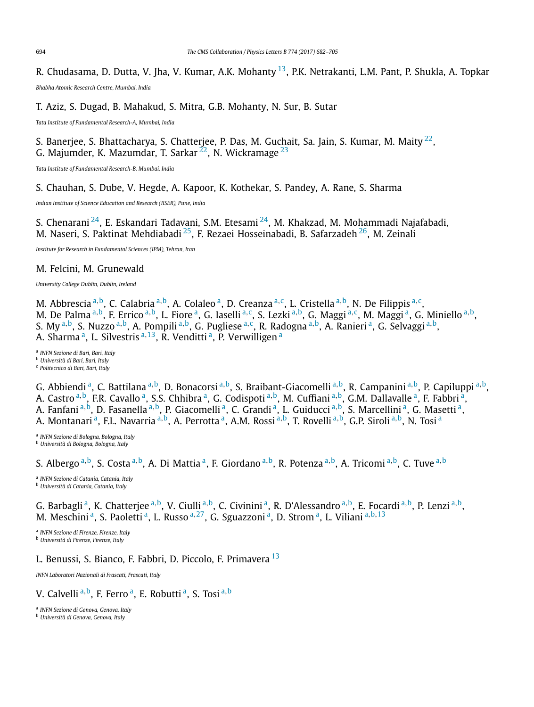R. Chudasama, D. Dutta, V. Jha, V. Kumar, A.K. Mohanty <sup>13</sup>, P.K. Netrakanti, L.M. Pant, P. Shukla, A. Topkar

*Bhabha Atomic Research Centre, Mumbai, India*

### T. Aziz, S. Dugad, B. Mahakud, S. Mitra, G.B. Mohanty, N. Sur, B. Sutar

*Tata Institute of Fundamental Research-A, Mumbai, India*

S. Banerjee, S. Bhattacharya, S. Chatterjee, P. Das, M. Guchait, Sa. Jain, S. Kumar, M. Maity [22](#page-22-0), G. Majumder, K. Mazumdar, T. Sarkar  $^{22}$ , N. Wickramage  $^{23}$  $^{23}$  $^{23}$ 

*Tata Institute of Fundamental Research-B, Mumbai, India*

S. Chauhan, S. Dube, V. Hegde, A. Kapoor, K. Kothekar, S. Pandey, A. Rane, S. Sharma

*Indian Institute of Science Education and Research (IISER), Pune, India*

S. Chenarani [24,](#page-22-0) E. Eskandari Tadavani, S.M. Etesami [24,](#page-22-0) M. Khakzad, M. Mohammadi Najafabadi, M. Naseri, S. Paktinat Mehdiabadi [25,](#page-22-0) F. Rezaei Hosseinabadi, B. Safarzadeh [26,](#page-22-0) M. Zeinali

*Institute for Research in Fundamental Sciences (IPM), Tehran, Iran*

### M. Felcini, M. Grunewald

*University College Dublin, Dublin, Ireland*

M. Abbrescia <sup>a</sup>*,*b, C. Calabria <sup>a</sup>*,*b, A. Colaleo a, D. Creanza <sup>a</sup>*,*c, L. Cristella <sup>a</sup>*,*b, N. De Filippis <sup>a</sup>*,*c, M. De Palma <sup>a</sup>*,*b, F. Errico <sup>a</sup>*,*b, L. Fiore a, G. Iaselli <sup>a</sup>*,*c, S. Lezki <sup>a</sup>*,*b, G. Maggi <sup>a</sup>*,*c, M. Maggi a, G. Miniello <sup>a</sup>*,*b, S. My <sup>a</sup>*,*b, S. Nuzzo <sup>a</sup>*,*b, A. Pompili <sup>a</sup>*,*b, G. Pugliese <sup>a</sup>*,*c, R. Radogna <sup>a</sup>*,*b, A. Ranieri a, G. Selvaggi <sup>a</sup>*,*b, A. Sharma <sup>a</sup>, L. Silvestris <sup>a, 13</sup>, R. Venditti <sup>a</sup>, P. Verwilligen <sup>a</sup>

<sup>a</sup> *INFN Sezione di Bari, Bari, Italy* <sup>b</sup> *Università di Bari, Bari, Italy*

<sup>c</sup> *Politecnico di Bari, Bari, Italy*

G. Abbiendi a, C. Battilana <sup>a</sup>*,*b, D. Bonacorsi <sup>a</sup>*,*b, S. Braibant-Giacomelli <sup>a</sup>*,*b, R. Campanini <sup>a</sup>*,*b, P. Capiluppi <sup>a</sup>*,*b, A. Castro <sup>a</sup>*,*b, F.R. Cavallo a, S.S. Chhibra a, G. Codispoti <sup>a</sup>*,*b, M. Cuffiani <sup>a</sup>*,*b, G.M. Dallavalle a, F. Fabbri a, A. Fanfani <sup>a,b</sup>, D. Fasanella <sup>a,b</sup>, P. Giacomelli <sup>a</sup>, C. Grandi <sup>a</sup>, L. Guiducci <sup>a,b</sup>, S. Marcellini <sup>a</sup>, G. Masetti <sup>a</sup>, A. Montanari a, F.L. Navarria <sup>a</sup>*,*b, A. Perrotta a, A.M. Rossi <sup>a</sup>*,*b, T. Rovelli <sup>a</sup>*,*b, G.P. Siroli <sup>a</sup>*,*b, N. Tosi <sup>a</sup>

<sup>a</sup> *INFN Sezione di Bologna, Bologna, Italy* <sup>b</sup> *Università di Bologna, Bologna, Italy*

S. Albergo <sup>a</sup>*,*b, S. Costa <sup>a</sup>*,*b, A. Di Mattia a, F. Giordano <sup>a</sup>*,*b, R. Potenza <sup>a</sup>*,*b, A. Tricomi <sup>a</sup>*,*b, C. Tuve <sup>a</sup>*,*<sup>b</sup>

<sup>a</sup> *INFN Sezione di Catania, Catania, Italy* <sup>b</sup> *Università di Catania, Catania, Italy*

G. Barbagli a, K. Chatterjee <sup>a</sup>*,*b, V. Ciulli <sup>a</sup>*,*b, C. Civinini a, R. D'Alessandro <sup>a</sup>*,*b, E. Focardi <sup>a</sup>*,*b, P. Lenzi <sup>a</sup>*,*b, M. Meschini<sup>a</sup>, S. Paoletti<sup>a</sup>, L. Russo<sup>a, 27</sup>, G. Sguazzoni<sup>a</sup>, D. Strom<sup>a</sup>, L. Viliani<sup>a, b, [13](#page-22-0)</sup>

<sup>a</sup> *INFN Sezione di Firenze, Firenze, Italy*

<sup>b</sup> *Università di Firenze, Firenze, Italy*

### L. Benussi, S. Bianco, F. Fabbri, D. Piccolo, F. Primavera <sup>[13](#page-22-0)</sup>

*INFN Laboratori Nazionali di Frascati, Frascati, Italy*

V. Calvelli<sup>a, b</sup>, F. Ferro<sup>a</sup>, E. Robutti<sup>a</sup>, S. Tosi<sup>a, b</sup>

<sup>a</sup> *INFN Sezione di Genova, Genova, Italy*

<sup>b</sup> *Università di Genova, Genova, Italy*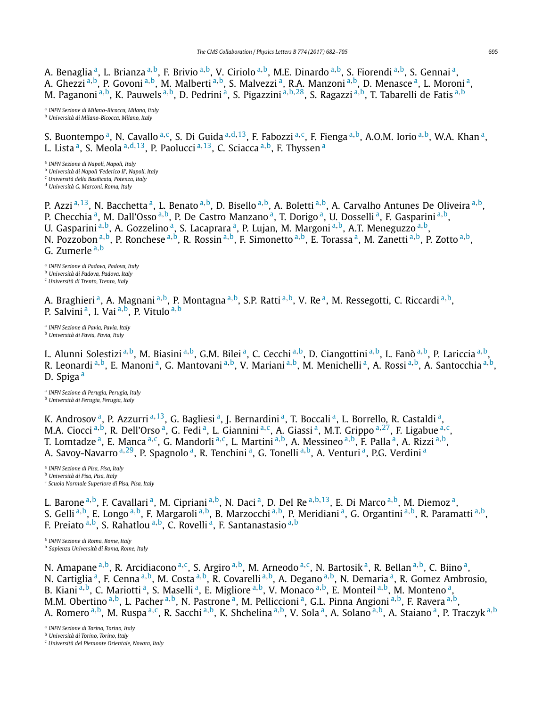A. Benaglia a, L. Brianza <sup>a</sup>*,*b, F. Brivio <sup>a</sup>*,*b, V. Ciriolo <sup>a</sup>*,*b, M.E. Dinardo <sup>a</sup>*,*b, S. Fiorendi <sup>a</sup>*,*b, S. Gennai a, A. Ghezzi <sup>a</sup>*,*b, P. Govoni <sup>a</sup>*,*b, M. Malberti <sup>a</sup>*,*b, S. Malvezzi a, R.A. Manzoni <sup>a</sup>*,*b, D. Menasce a, L. Moroni a, M. Paganoni <sup>a</sup>*,*b, K. Pauwels <sup>a</sup>*,*b, D. Pedrini a, S. Pigazzini <sup>a</sup>*,*b*,*[28,](#page-22-0) S. Ragazzi <sup>a</sup>*,*b, T. Tabarelli de Fatis <sup>a</sup>*,*<sup>b</sup>

<sup>a</sup> *INFN Sezione di Milano-Bicocca, Milano, Italy* <sup>b</sup> *Università di Milano-Bicocca, Milano, Italy*

S. Buontempo a, N. Cavallo <sup>a</sup>*,*c, S. Di Guida <sup>a</sup>*,*d*,*[13,](#page-22-0) F. Fabozzi <sup>a</sup>*,*c, F. Fienga <sup>a</sup>*,*b, A.O.M. Iorio <sup>a</sup>*,*b, W.A. Khan a, L. Lista a, S. Meola <sup>a</sup>*,*d*,*[13,](#page-22-0) P. Paolucci <sup>a</sup>*,*[13,](#page-22-0) C. Sciacca <sup>a</sup>*,*b, F. Thyssen <sup>a</sup>

<sup>a</sup> *INFN Sezione di Napoli, Napoli, Italy*

<sup>b</sup> *Università di Napoli 'Federico II', Napoli, Italy*

<sup>c</sup> *Università della Basilicata, Potenza, Italy*

<sup>d</sup> *Università G. Marconi, Roma, Italy*

P. Azzi <sup>a</sup>*,*[13,](#page-22-0) N. Bacchetta a, L. Benato <sup>a</sup>*,*b, D. Bisello <sup>a</sup>*,*b, A. Boletti <sup>a</sup>*,*b, A. Carvalho Antunes De Oliveira <sup>a</sup>*,*b, P. Checchia <sup>a</sup>, M. Dall'Osso a, <sup>b</sup>, P. De Castro Manzano <sup>a</sup>, T. Dorigo <sup>a</sup>, U. Dosselli <sup>a</sup>, F. Gasparini a, <sup>b</sup>, U. Gasparini <sup>a,b</sup>, A. Gozzelino <sup>a</sup>, S. Lacaprara <sup>a</sup>, P. Lujan, M. Margoni <sup>a,b</sup>, A.T. Meneguzzo <sup>a,b</sup>, N. Pozzobon <sup>a</sup>*,*b, P. Ronchese <sup>a</sup>*,*b, R. Rossin <sup>a</sup>*,*b, F. Simonetto <sup>a</sup>*,*b, E. Torassa a, M. Zanetti <sup>a</sup>*,*b, P. Zotto <sup>a</sup>*,*b, G. Zumerle <sup>a</sup>*,*<sup>b</sup>

<sup>a</sup> *INFN Sezione di Padova, Padova, Italy*

<sup>b</sup> *Università di Padova, Padova, Italy*

<sup>c</sup> *Università di Trento, Trento, Italy*

A. Braghieri<sup>a</sup>, A. Magnani<sup>a,b</sup>, P. Montagna<sup>a,b</sup>, S.P. Ratti<sup>a,b</sup>, V. Re<sup>a</sup>, M. Ressegotti, C. Riccardi<sup>a,b</sup>, P. Salvini a, I. Vai <sup>a</sup>*,*b, P. Vitulo <sup>a</sup>*,*<sup>b</sup>

<sup>a</sup> *INFN Sezione di Pavia, Pavia, Italy* <sup>b</sup> *Università di Pavia, Pavia, Italy*

L. Alunni Solestizi <sup>a</sup>*,*b, M. Biasini <sup>a</sup>*,*b, G.M. Bilei a, C. Cecchi <sup>a</sup>*,*b, D. Ciangottini <sup>a</sup>*,*b, L. Fanò <sup>a</sup>*,*b, P. Lariccia <sup>a</sup>*,*b, R. Leonardi <sup>a</sup>*,*b, E. Manoni a, G. Mantovani <sup>a</sup>*,*b, V. Mariani <sup>a</sup>*,*b, M. Menichelli a, A. Rossi <sup>a</sup>*,*b, A. Santocchia <sup>a</sup>*,*b, D. Spiga<sup>a</sup>

<sup>a</sup> *INFN Sezione di Perugia, Perugia, Italy* <sup>b</sup> *Università di Perugia, Perugia, Italy*

K. Androsov<sup>a</sup>, P. Azzurri<sup>a, 13</sup>, G. Bagliesi<sup>a</sup>, J. Bernardini<sup>a</sup>, T. Boccali<sup>a</sup>, L. Borrello, R. Castaldi<sup>a</sup>, M.A. Ciocci <sup>a</sup>*,*b, R. Dell'Orso a, G. Fedi a, L. Giannini <sup>a</sup>*,*c, A. Giassi a, M.T. Grippo <sup>a</sup>*,*[27,](#page-22-0) F. Ligabue <sup>a</sup>*,*c, T. Lomtadze a, E. Manca <sup>a</sup>*,*c, G. Mandorli <sup>a</sup>*,*c, L. Martini <sup>a</sup>*,*b, A. Messineo <sup>a</sup>*,*b, F. Palla a, A. Rizzi <sup>a</sup>*,*b, A. Savoy-Navarro <sup>a, 29</sup>, P. Spagnolo <sup>a</sup>, R. Tenchini <sup>a</sup>, G. Tonelli <sup>a, b</sup>, A. Venturi <sup>a</sup>, P.G. Verdini <sup>a</sup>

<sup>a</sup> *INFN Sezione di Pisa, Pisa, Italy* <sup>b</sup> *Università di Pisa, Pisa, Italy*

<sup>c</sup> *Scuola Normale Superiore di Pisa, Pisa, Italy*

L. Barone a,b, F. Cavallari <sup>a</sup>, M. Cipriani a,b, N. Daci <sup>a</sup>, D. Del Re a,b,[13](#page-22-0), E. Di Marco a,b, M. Diemoz <sup>a</sup>, S. Gelli <sup>a</sup>*,*b, E. Longo <sup>a</sup>*,*b, F. Margaroli <sup>a</sup>*,*b, B. Marzocchi <sup>a</sup>*,*b, P. Meridiani a, G. Organtini <sup>a</sup>*,*b, R. Paramatti <sup>a</sup>*,*b, F. Preiato <sup>a</sup>*,*b, S. Rahatlou <sup>a</sup>*,*b, C. Rovelli a, F. Santanastasio <sup>a</sup>*,*<sup>b</sup>

<sup>a</sup> *INFN Sezione di Roma, Rome, Italy*

<sup>b</sup> *Sapienza Università di Roma, Rome, Italy*

N. Amapane <sup>a</sup>*,*b, R. Arcidiacono <sup>a</sup>*,*c, S. Argiro <sup>a</sup>*,*b, M. Arneodo <sup>a</sup>*,*c, N. Bartosik a, R. Bellan <sup>a</sup>*,*b, C. Biino a, N. Cartiglia a, F. Cenna <sup>a</sup>*,*b, M. Costa <sup>a</sup>*,*b, R. Covarelli <sup>a</sup>*,*b, A. Degano <sup>a</sup>*,*b, N. Demaria a, R. Gomez Ambrosio, B. Kiani <sup>a</sup>*,*b, C. Mariotti a, S. Maselli a, E. Migliore <sup>a</sup>*,*b, V. Monaco <sup>a</sup>*,*b, E. Monteil <sup>a</sup>*,*b, M. Monteno a, M.M. Obertino <sup>a</sup>*,*b, L. Pacher <sup>a</sup>*,*b, N. Pastrone a, M. Pelliccioni a, G.L. Pinna Angioni <sup>a</sup>*,*b, F. Ravera <sup>a</sup>*,*b, A. Romero <sup>a</sup>*,*b, M. Ruspa <sup>a</sup>*,*c, R. Sacchi <sup>a</sup>*,*b, K. Shchelina <sup>a</sup>*,*b, V. Sola a, A. Solano <sup>a</sup>*,*b, A. Staiano a, P. Traczyk <sup>a</sup>*,*<sup>b</sup>

<sup>a</sup> *INFN Sezione di Torino, Torino, Italy*

<sup>b</sup> *Università di Torino, Torino, Italy*

<sup>c</sup> *Università del Piemonte Orientale, Novara, Italy*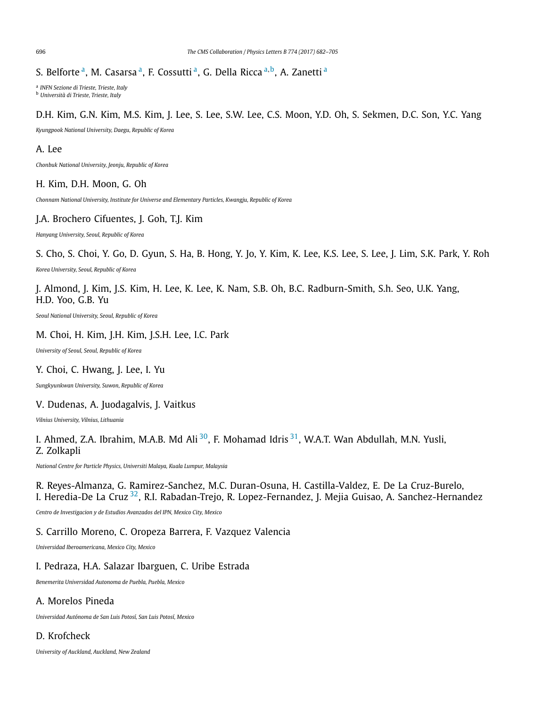### S. Belforte<sup>a</sup>, M. Casarsa<sup>a</sup>, F. Cossutti<sup>a</sup>, G. Della Ricca<sup>a,b</sup>. A. Zanetti<sup>a</sup>

<sup>a</sup> *INFN Sezione di Trieste, Trieste, Italy* <sup>b</sup> *Università di Trieste, Trieste, Italy*

### D.H. Kim, G.N. Kim, M.S. Kim, J. Lee, S. Lee, S.W. Lee, C.S. Moon, Y.D. Oh, S. Sekmen, D.C. Son, Y.C. Yang

*Kyungpook National University, Daegu, Republic of Korea*

### A. Lee

*Chonbuk National University, Jeonju, Republic of Korea*

### H. Kim, D.H. Moon, G. Oh

*Chonnam National University, Institute for Universe and Elementary Particles, Kwangju, Republic of Korea*

### J.A. Brochero Cifuentes, J. Goh, T.J. Kim

*Hanyang University, Seoul, Republic of Korea*

### S. Cho, S. Choi, Y. Go, D. Gyun, S. Ha, B. Hong, Y. Jo, Y. Kim, K. Lee, K.S. Lee, S. Lee, J. Lim, S.K. Park, Y. Roh

*Korea University, Seoul, Republic of Korea*

### J. Almond, J. Kim, J.S. Kim, H. Lee, K. Lee, K. Nam, S.B. Oh, B.C. Radburn-Smith, S.h. Seo, U.K. Yang, H.D. Yoo, G.B. Yu

*Seoul National University, Seoul, Republic of Korea*

### M. Choi, H. Kim, J.H. Kim, J.S.H. Lee, I.C. Park

*University of Seoul, Seoul, Republic of Korea*

### Y. Choi, C. Hwang, J. Lee, I. Yu

*Sungkyunkwan University, Suwon, Republic of Korea*

### V. Dudenas, A. Juodagalvis, J. Vaitkus

*Vilnius University, Vilnius, Lithuania*

### I. Ahmed, Z.A. Ibrahim, M.A.B. Md Ali  $30$ , F. Mohamad Idris  $31$ , W.A.T. Wan Abdullah, M.N. Yusli, Z. Zolkapli

*National Centre for Particle Physics, Universiti Malaya, Kuala Lumpur, Malaysia*

### R. Reyes-Almanza, G. Ramirez-Sanchez, M.C. Duran-Osuna, H. Castilla-Valdez, E. De La Cruz-Burelo, I. Heredia-De La Cruz [32,](#page-22-0) R.I. Rabadan-Trejo, R. Lopez-Fernandez, J. Mejia Guisao, A. Sanchez-Hernandez

*Centro de Investigacion y de Estudios Avanzados del IPN, Mexico City, Mexico*

### S. Carrillo Moreno, C. Oropeza Barrera, F. Vazquez Valencia

*Universidad Iberoamericana, Mexico City, Mexico*

### I. Pedraza, H.A. Salazar Ibarguen, C. Uribe Estrada

*Benemerita Universidad Autonoma de Puebla, Puebla, Mexico*

### A. Morelos Pineda

*Universidad Autónoma de San Luis Potosí, San Luis Potosí, Mexico*

### D. Krofcheck

*University of Auckland, Auckland, New Zealand*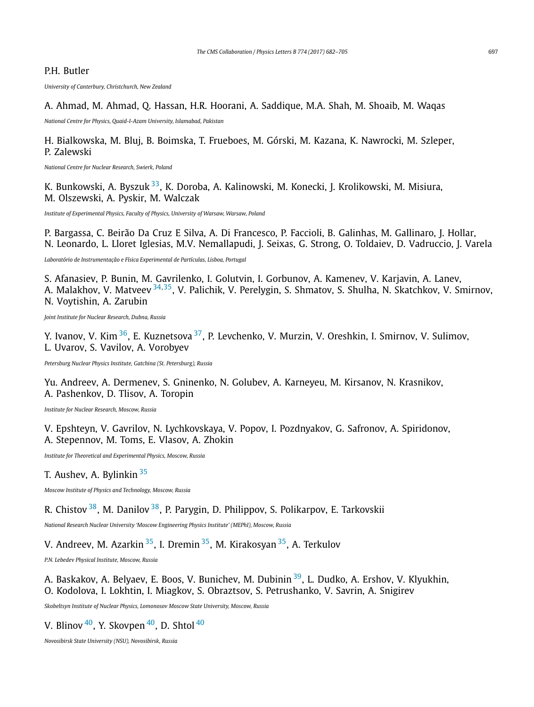### P.H. Butler

*University of Canterbury, Christchurch, New Zealand*

### A. Ahmad, M. Ahmad, Q. Hassan, H.R. Hoorani, A. Saddique, M.A. Shah, M. Shoaib, M. Waqas

*National Centre for Physics, Quaid-I-Azam University, Islamabad, Pakistan*

### H. Bialkowska, M. Bluj, B. Boimska, T. Frueboes, M. Górski, M. Kazana, K. Nawrocki, M. Szleper, P. Zalewski

*National Centre for Nuclear Research, Swierk, Poland*

K. Bunkowski, A. Byszuk [33,](#page-22-0) K. Doroba, A. Kalinowski, M. Konecki, J. Krolikowski, M. Misiura, M. Olszewski, A. Pyskir, M. Walczak

*Institute of Experimental Physics, Faculty of Physics, University of Warsaw, Warsaw, Poland*

P. Bargassa, C. Beirão Da Cruz E Silva, A. Di Francesco, P. Faccioli, B. Galinhas, M. Gallinaro, J. Hollar, N. Leonardo, L. Lloret Iglesias, M.V. Nemallapudi, J. Seixas, G. Strong, O. Toldaiev, D. Vadruccio, J. Varela

*Laboratório de Instrumentação e Física Experimental de Partículas, Lisboa, Portugal*

S. Afanasiev, P. Bunin, M. Gavrilenko, I. Golutvin, I. Gorbunov, A. Kamenev, V. Karjavin, A. Lanev, A. Malakhov, V. Matveev [34](#page-22-0)*,*[35](#page-22-0), V. Palichik, V. Perelygin, S. Shmatov, S. Shulha, N. Skatchkov, V. Smirnov, N. Voytishin, A. Zarubin

*Joint Institute for Nuclear Research, Dubna, Russia*

Y. Ivanov, V. Kim <sup>36</sup>, E. Kuznetsova <sup>37</sup>, P. Levchenko, V. Murzin, V. Oreshkin, I. Smirnov, V. Sulimov, L. Uvarov, S. Vavilov, A. Vorobyev

*Petersburg Nuclear Physics Institute, Gatchina (St. Petersburg), Russia*

Yu. Andreev, A. Dermenev, S. Gninenko, N. Golubev, A. Karneyeu, M. Kirsanov, N. Krasnikov, A. Pashenkov, D. Tlisov, A. Toropin

*Institute for Nuclear Research, Moscow, Russia*

V. Epshteyn, V. Gavrilov, N. Lychkovskaya, V. Popov, I. Pozdnyakov, G. Safronov, A. Spiridonov, A. Stepennov, M. Toms, E. Vlasov, A. Zhokin

*Institute for Theoretical and Experimental Physics, Moscow, Russia*

T. Aushev, A. Bylinkin [35](#page-22-0)

*Moscow Institute of Physics and Technology, Moscow, Russia*

R. Chistov  $38$ , M. Danilov  $38$ , P. Parygin, D. Philippov, S. Polikarpov, E. Tarkovskii

*National Research Nuclear University 'Moscow Engineering Physics Institute' (MEPhI), Moscow, Russia*

V. Andreev, M. Azarkin  $35$ , I. Dremin  $35$ , M. Kirakosyan  $35$ , A. Terkulov

*P.N. Lebedev Physical Institute, Moscow, Russia*

A. Baskakov, A. Belyaev, E. Boos, V. Bunichev, M. Dubinin <sup>39</sup>, L. Dudko, A. Ershov, V. Klyukhin, O. Kodolova, I. Lokhtin, I. Miagkov, S. Obraztsov, S. Petrushanko, V. Savrin, A. Snigirev

*Skobeltsyn Institute of Nuclear Physics, Lomonosov Moscow State University, Moscow, Russia*

V. Blinov  $40$ , Y. Skovpen  $40$ , D. Shtol  $40$ 

*Novosibirsk State University (NSU), Novosibirsk, Russia*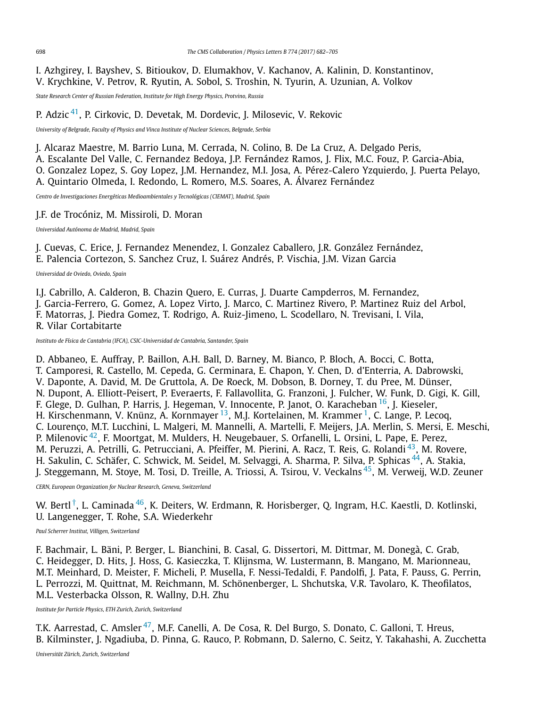I. Azhgirey, I. Bayshev, S. Bitioukov, D. Elumakhov, V. Kachanov, A. Kalinin, D. Konstantinov, V. Krychkine, V. Petrov, R. Ryutin, A. Sobol, S. Troshin, N. Tyurin, A. Uzunian, A. Volkov

*State Research Center of Russian Federation, Institute for High Energy Physics, Protvino, Russia*

P. Adzic [41,](#page-22-0) P. Cirkovic, D. Devetak, M. Dordevic, J. Milosevic, V. Rekovic

*University of Belgrade, Faculty of Physics and Vinca Institute of Nuclear Sciences, Belgrade, Serbia*

J. Alcaraz Maestre, M. Barrio Luna, M. Cerrada, N. Colino, B. De La Cruz, A. Delgado Peris, A. Escalante Del Valle, C. Fernandez Bedoya, J.P. Fernández Ramos, J. Flix, M.C. Fouz, P. Garcia-Abia, O. Gonzalez Lopez, S. Goy Lopez, J.M. Hernandez, M.I. Josa, A. Pérez-Calero Yzquierdo, J. Puerta Pelayo, A. Quintario Olmeda, I. Redondo, L. Romero, M.S. Soares, A. Álvarez Fernández

*Centro de Investigaciones Energéticas Medioambientales y Tecnológicas (CIEMAT), Madrid, Spain*

J.F. de Trocóniz, M. Missiroli, D. Moran

*Universidad Autónoma de Madrid, Madrid, Spain*

J. Cuevas, C. Erice, J. Fernandez Menendez, I. Gonzalez Caballero, J.R. González Fernández, E. Palencia Cortezon, S. Sanchez Cruz, I. Suárez Andrés, P. Vischia, J.M. Vizan Garcia

*Universidad de Oviedo, Oviedo, Spain*

I.J. Cabrillo, A. Calderon, B. Chazin Quero, E. Curras, J. Duarte Campderros, M. Fernandez, J. Garcia-Ferrero, G. Gomez, A. Lopez Virto, J. Marco, C. Martinez Rivero, P. Martinez Ruiz del Arbol, F. Matorras, J. Piedra Gomez, T. Rodrigo, A. Ruiz-Jimeno, L. Scodellaro, N. Trevisani, I. Vila, R. Vilar Cortabitarte

*Instituto de Física de Cantabria (IFCA), CSIC-Universidad de Cantabria, Santander, Spain*

D. Abbaneo, E. Auffray, P. Baillon, A.H. Ball, D. Barney, M. Bianco, P. Bloch, A. Bocci, C. Botta, T. Camporesi, R. Castello, M. Cepeda, G. Cerminara, E. Chapon, Y. Chen, D. d'Enterria, A. Dabrowski, V. Daponte, A. David, M. De Gruttola, A. De Roeck, M. Dobson, B. Dorney, T. du Pree, M. Dünser, N. Dupont, A. Elliott-Peisert, P. Everaerts, F. Fallavollita, G. Franzoni, J. Fulcher, W. Funk, D. Gigi, K. Gill, F. Glege, D. Gulhan, P. Harris, J. Hegeman, V. Innocente, P. Janot, O. Karacheban [16,](#page-22-0) J. Kieseler, H. Kirschenmann, V. Knünz, A. Kornmayer<sup>13</sup>, M.J. Kortelainen, M. Krammer<sup>1</sup>, C. Lange, P. Lecoq, C. Lourenço, M.T. Lucchini, L. Malgeri, M. Mannelli, A. Martelli, F. Meijers, J.A. Merlin, S. Mersi, E. Meschi, P. Milenovic [42,](#page-22-0) F. Moortgat, M. Mulders, H. Neugebauer, S. Orfanelli, L. Orsini, L. Pape, E. Perez, M. Peruzzi, A. Petrilli, G. Petrucciani, A. Pfeiffer, M. Pierini, A. Racz, T. Reis, G. Rolandi [43,](#page-22-0) M. Rovere, H. Sakulin, C. Schäfer, C. Schwick, M. Seidel, M. Selvaggi, A. Sharma, P. Silva, P. Sphicas [44,](#page-22-0) A. Stakia, J. Steggemann, M. Stoye, M. Tosi, D. Treille, A. Triossi, A. Tsirou, V. Veckalns [45,](#page-22-0) M. Verweij, W.D. Zeuner

*CERN, European Organization for Nuclear Research, Geneva, Switzerland*

W. Bertl<sup>†</sup>, L. Caminada<sup>[46](#page-22-0)</sup>, K. Deiters, W. Erdmann, R. Horisberger, Q. Ingram, H.C. Kaestli, D. Kotlinski, U. Langenegger, T. Rohe, S.A. Wiederkehr

*Paul Scherrer Institut, Villigen, Switzerland*

F. Bachmair, L. Bäni, P. Berger, L. Bianchini, B. Casal, G. Dissertori, M. Dittmar, M. Donegà, C. Grab, C. Heidegger, D. Hits, J. Hoss, G. Kasieczka, T. Klijnsma, W. Lustermann, B. Mangano, M. Marionneau, M.T. Meinhard, D. Meister, F. Micheli, P. Musella, F. Nessi-Tedaldi, F. Pandolfi, J. Pata, F. Pauss, G. Perrin, L. Perrozzi, M. Quittnat, M. Reichmann, M. Schönenberger, L. Shchutska, V.R. Tavolaro, K. Theofilatos, M.L. Vesterbacka Olsson, R. Wallny, D.H. Zhu

*Institute for Particle Physics, ETH Zurich, Zurich, Switzerland*

T.K. Aarrestad, C. Amsler<sup>47</sup>, M.F. Canelli, A. De Cosa, R. Del Burgo, S. Donato, C. Galloni, T. Hreus, B. Kilminster, J. Ngadiuba, D. Pinna, G. Rauco, P. Robmann, D. Salerno, C. Seitz, Y. Takahashi, A. Zucchetta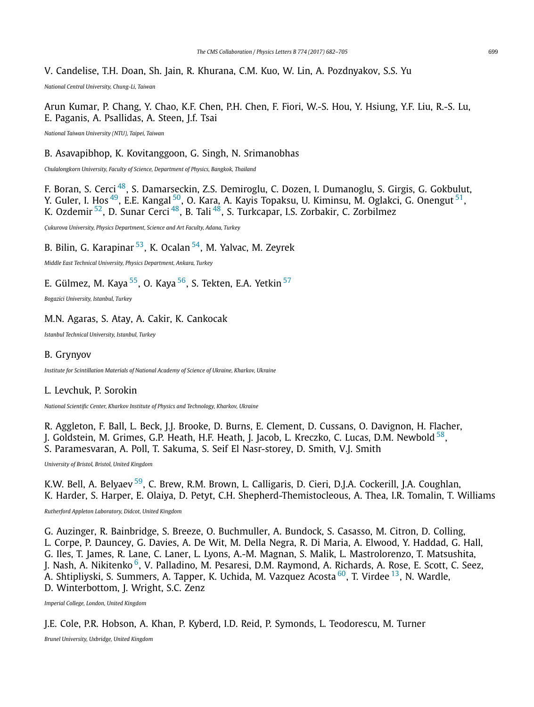### V. Candelise, T.H. Doan, Sh. Jain, R. Khurana, C.M. Kuo, W. Lin, A. Pozdnyakov, S.S. Yu

*National Central University, Chung-Li, Taiwan*

Arun Kumar, P. Chang, Y. Chao, K.F. Chen, P.H. Chen, F. Fiori, W.-S. Hou, Y. Hsiung, Y.F. Liu, R.-S. Lu, E. Paganis, A. Psallidas, A. Steen, J.f. Tsai

*National Taiwan University (NTU), Taipei, Taiwan*

### B. Asavapibhop, K. Kovitanggoon, G. Singh, N. Srimanobhas

*Chulalongkorn University, Faculty of Science, Department of Physics, Bangkok, Thailand*

F. Boran, S. Cerci [48,](#page-22-0) S. Damarseckin, Z.S. Demiroglu, C. Dozen, I. Dumanoglu, S. Girgis, G. Gokbulut, Y. Guler, I. Hos [49,](#page-22-0) E.E. Kangal [50,](#page-22-0) O. Kara, A. Kayis Topaksu, U. Kiminsu, M. Oglakci, G. Onengut [51,](#page-22-0) K. Ozdemir <sup>52</sup>, D. Sunar Cerci <sup>48</sup>, B. Tali <sup>48</sup>, S. Turkcapar, I.S. Zorbakir, C. Zorbilmez

*Çukurova University, Physics Department, Science and Art Faculty, Adana, Turkey*

### B. Bilin, G. Karapinar<sup>53</sup>, K. Ocalan<sup>54</sup>, M. Yalvac, M. Zeyrek

*Middle East Technical University, Physics Department, Ankara, Turkey*

### E. Gülmez, M. Kaya  $^{55}$ , O. Kaya  $^{56}$ , S. Tekten, E.A. Yetkin  $^{57}$  $^{57}$  $^{57}$

*Bogazici University, Istanbul, Turkey*

### M.N. Agaras, S. Atay, A. Cakir, K. Cankocak

*Istanbul Technical University, Istanbul, Turkey*

### B. Grynyov

*Institute for Scintillation Materials of National Academy of Science of Ukraine, Kharkov, Ukraine*

### L. Levchuk, P. Sorokin

*National Scientific Center, Kharkov Institute of Physics and Technology, Kharkov, Ukraine*

R. Aggleton, F. Ball, L. Beck, J.J. Brooke, D. Burns, E. Clement, D. Cussans, O. Davignon, H. Flacher, J. Goldstein, M. Grimes, G.P. Heath, H.F. Heath, J. Jacob, L. Kreczko, C. Lucas, D.M. Newbold [58,](#page-22-0) S. Paramesvaran, A. Poll, T. Sakuma, S. Seif El Nasr-storey, D. Smith, V.J. Smith

*University of Bristol, Bristol, United Kingdom*

K.W. Bell, A. Belyaev [59,](#page-22-0) C. Brew, R.M. Brown, L. Calligaris, D. Cieri, D.J.A. Cockerill, J.A. Coughlan, K. Harder, S. Harper, E. Olaiya, D. Petyt, C.H. Shepherd-Themistocleous, A. Thea, I.R. Tomalin, T. Williams

*Rutherford Appleton Laboratory, Didcot, United Kingdom*

G. Auzinger, R. Bainbridge, S. Breeze, O. Buchmuller, A. Bundock, S. Casasso, M. Citron, D. Colling, L. Corpe, P. Dauncey, G. Davies, A. De Wit, M. Della Negra, R. Di Maria, A. Elwood, Y. Haddad, G. Hall, G. Iles, T. James, R. Lane, C. Laner, L. Lyons, A.-M. Magnan, S. Malik, L. Mastrolorenzo, T. Matsushita, J. Nash, A. Nikitenko <sup>6</sup>, V. Palladino, M. Pesaresi, D.M. Raymond, A. Richards, A. Rose, E. Scott, C. Seez, A. Shtipliyski, S. Summers, A. Tapper, K. Uchida, M. Vazquez Acosta <sup>60</sup>, T. Virdee <sup>13</sup>, N. Wardle, D. Winterbottom, J. Wright, S.C. Zenz

*Imperial College, London, United Kingdom*

J.E. Cole, P.R. Hobson, A. Khan, P. Kyberd, I.D. Reid, P. Symonds, L. Teodorescu, M. Turner

*Brunel University, Uxbridge, United Kingdom*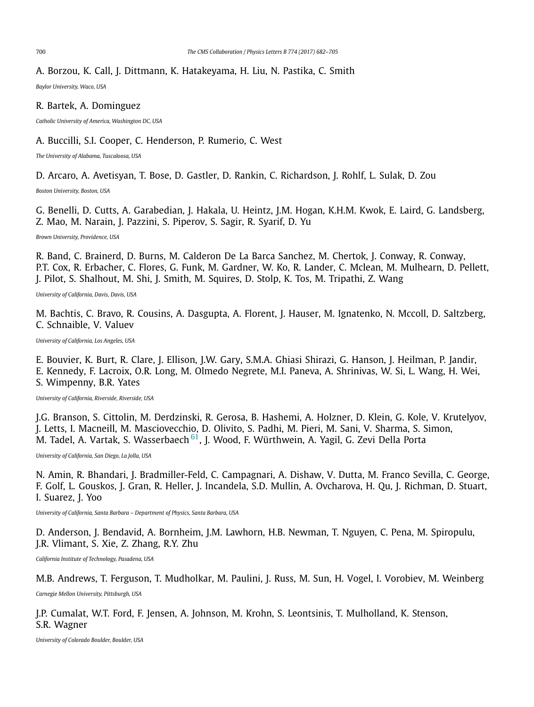### A. Borzou, K. Call, J. Dittmann, K. Hatakeyama, H. Liu, N. Pastika, C. Smith

*Baylor University, Waco, USA*

### R. Bartek, A. Dominguez

*Catholic University of America, Washington DC, USA*

### A. Buccilli, S.I. Cooper, C. Henderson, P. Rumerio, C. West

*The University of Alabama, Tuscaloosa, USA*

D. Arcaro, A. Avetisyan, T. Bose, D. Gastler, D. Rankin, C. Richardson, J. Rohlf, L. Sulak, D. Zou

*Boston University, Boston, USA*

G. Benelli, D. Cutts, A. Garabedian, J. Hakala, U. Heintz, J.M. Hogan, K.H.M. Kwok, E. Laird, G. Landsberg, Z. Mao, M. Narain, J. Pazzini, S. Piperov, S. Sagir, R. Syarif, D. Yu

*Brown University, Providence, USA*

R. Band, C. Brainerd, D. Burns, M. Calderon De La Barca Sanchez, M. Chertok, J. Conway, R. Conway, P.T. Cox, R. Erbacher, C. Flores, G. Funk, M. Gardner, W. Ko, R. Lander, C. Mclean, M. Mulhearn, D. Pellett, J. Pilot, S. Shalhout, M. Shi, J. Smith, M. Squires, D. Stolp, K. Tos, M. Tripathi, Z. Wang

*University of California, Davis, Davis, USA*

M. Bachtis, C. Bravo, R. Cousins, A. Dasgupta, A. Florent, J. Hauser, M. Ignatenko, N. Mccoll, D. Saltzberg, C. Schnaible, V. Valuev

*University of California, Los Angeles, USA*

E. Bouvier, K. Burt, R. Clare, J. Ellison, J.W. Gary, S.M.A. Ghiasi Shirazi, G. Hanson, J. Heilman, P. Jandir, E. Kennedy, F. Lacroix, O.R. Long, M. Olmedo Negrete, M.I. Paneva, A. Shrinivas, W. Si, L. Wang, H. Wei, S. Wimpenny, B.R. Yates

*University of California, Riverside, Riverside, USA*

J.G. Branson, S. Cittolin, M. Derdzinski, R. Gerosa, B. Hashemi, A. Holzner, D. Klein, G. Kole, V. Krutelyov, J. Letts, I. Macneill, M. Masciovecchio, D. Olivito, S. Padhi, M. Pieri, M. Sani, V. Sharma, S. Simon, M. Tadel, A. Vartak, S. Wasserbaech <sup>61</sup>, J. Wood, F. Würthwein, A. Yagil, G. Zevi Della Porta

*University of California, San Diego, La Jolla, USA*

N. Amin, R. Bhandari, J. Bradmiller-Feld, C. Campagnari, A. Dishaw, V. Dutta, M. Franco Sevilla, C. George, F. Golf, L. Gouskos, J. Gran, R. Heller, J. Incandela, S.D. Mullin, A. Ovcharova, H. Qu, J. Richman, D. Stuart, I. Suarez, J. Yoo

*University of California, Santa Barbara – Department of Physics, Santa Barbara, USA*

D. Anderson, J. Bendavid, A. Bornheim, J.M. Lawhorn, H.B. Newman, T. Nguyen, C. Pena, M. Spiropulu, J.R. Vlimant, S. Xie, Z. Zhang, R.Y. Zhu

*California Institute of Technology, Pasadena, USA*

M.B. Andrews, T. Ferguson, T. Mudholkar, M. Paulini, J. Russ, M. Sun, H. Vogel, I. Vorobiev, M. Weinberg *Carnegie Mellon University, Pittsburgh, USA*

J.P. Cumalat, W.T. Ford, F. Jensen, A. Johnson, M. Krohn, S. Leontsinis, T. Mulholland, K. Stenson, S.R. Wagner

*University of Colorado Boulder, Boulder, USA*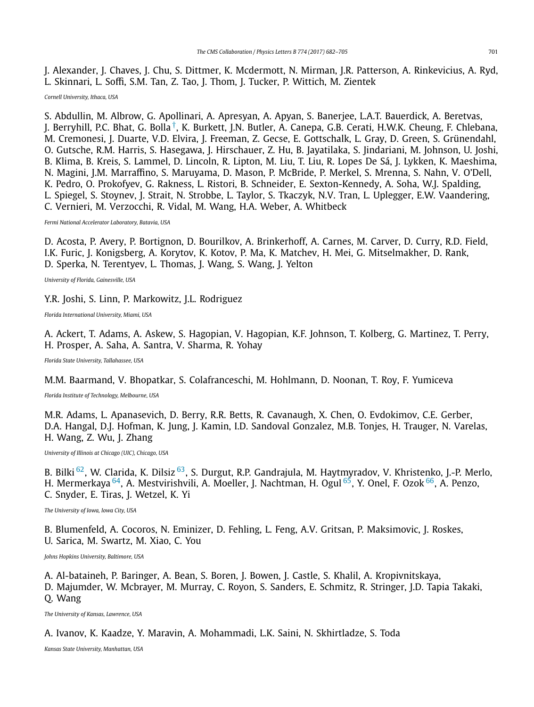J. Alexander, J. Chaves, J. Chu, S. Dittmer, K. Mcdermott, N. Mirman, J.R. Patterson, A. Rinkevicius, A. Ryd, L. Skinnari, L. Soffi, S.M. Tan, Z. Tao, J. Thom, J. Tucker, P. Wittich, M. Zientek

*Cornell University, Ithaca, USA*

S. Abdullin, M. Albrow, G. Apollinari, A. Apresyan, A. Apyan, S. Banerjee, L.A.T. Bauerdick, A. Beretvas, J. Berryhill, P.C. Bhat, G. Bolla [†,](#page-22-0) K. Burkett, J.N. Butler, A. Canepa, G.B. Cerati, H.W.K. Cheung, F. Chlebana, M. Cremonesi, J. Duarte, V.D. Elvira, J. Freeman, Z. Gecse, E. Gottschalk, L. Gray, D. Green, S. Grünendahl, O. Gutsche, R.M. Harris, S. Hasegawa, J. Hirschauer, Z. Hu, B. Jayatilaka, S. Jindariani, M. Johnson, U. Joshi, B. Klima, B. Kreis, S. Lammel, D. Lincoln, R. Lipton, M. Liu, T. Liu, R. Lopes De Sá, J. Lykken, K. Maeshima, N. Magini, J.M. Marraffino, S. Maruyama, D. Mason, P. McBride, P. Merkel, S. Mrenna, S. Nahn, V. O'Dell, K. Pedro, O. Prokofyev, G. Rakness, L. Ristori, B. Schneider, E. Sexton-Kennedy, A. Soha, W.J. Spalding, L. Spiegel, S. Stoynev, J. Strait, N. Strobbe, L. Taylor, S. Tkaczyk, N.V. Tran, L. Uplegger, E.W. Vaandering, C. Vernieri, M. Verzocchi, R. Vidal, M. Wang, H.A. Weber, A. Whitbeck

*Fermi National Accelerator Laboratory, Batavia, USA*

D. Acosta, P. Avery, P. Bortignon, D. Bourilkov, A. Brinkerhoff, A. Carnes, M. Carver, D. Curry, R.D. Field, I.K. Furic, J. Konigsberg, A. Korytov, K. Kotov, P. Ma, K. Matchev, H. Mei, G. Mitselmakher, D. Rank, D. Sperka, N. Terentyev, L. Thomas, J. Wang, S. Wang, J. Yelton

*University of Florida, Gainesville, USA*

Y.R. Joshi, S. Linn, P. Markowitz, J.L. Rodriguez

*Florida International University, Miami, USA*

A. Ackert, T. Adams, A. Askew, S. Hagopian, V. Hagopian, K.F. Johnson, T. Kolberg, G. Martinez, T. Perry, H. Prosper, A. Saha, A. Santra, V. Sharma, R. Yohay

*Florida State University, Tallahassee, USA*

M.M. Baarmand, V. Bhopatkar, S. Colafranceschi, M. Hohlmann, D. Noonan, T. Roy, F. Yumiceva

*Florida Institute of Technology, Melbourne, USA*

M.R. Adams, L. Apanasevich, D. Berry, R.R. Betts, R. Cavanaugh, X. Chen, O. Evdokimov, C.E. Gerber, D.A. Hangal, D.J. Hofman, K. Jung, J. Kamin, I.D. Sandoval Gonzalez, M.B. Tonjes, H. Trauger, N. Varelas, H. Wang, Z. Wu, J. Zhang

*University of Illinois at Chicago (UIC), Chicago, USA*

B. Bilki <sup>62</sup>, W. Clarida, K. Dilsiz <sup>63</sup>, S. Durgut, R.P. Gandrajula, M. Haytmyradov, V. Khristenko, J.-P. Merlo, H. Mermerkaya <sup>64</sup>, A. Mestvirishvili, A. Moeller, J. Nachtman, H. Ogul <sup>65</sup>, Y. Onel, F. Ozok <sup>66</sup>, A. Penzo, C. Snyder, E. Tiras, J. Wetzel, K. Yi

*The University of Iowa, Iowa City, USA*

B. Blumenfeld, A. Cocoros, N. Eminizer, D. Fehling, L. Feng, A.V. Gritsan, P. Maksimovic, J. Roskes, U. Sarica, M. Swartz, M. Xiao, C. You

*Johns Hopkins University, Baltimore, USA*

A. Al-bataineh, P. Baringer, A. Bean, S. Boren, J. Bowen, J. Castle, S. Khalil, A. Kropivnitskaya, D. Majumder, W. Mcbrayer, M. Murray, C. Royon, S. Sanders, E. Schmitz, R. Stringer, J.D. Tapia Takaki, Q. Wang

*The University of Kansas, Lawrence, USA*

A. Ivanov, K. Kaadze, Y. Maravin, A. Mohammadi, L.K. Saini, N. Skhirtladze, S. Toda

*Kansas State University, Manhattan, USA*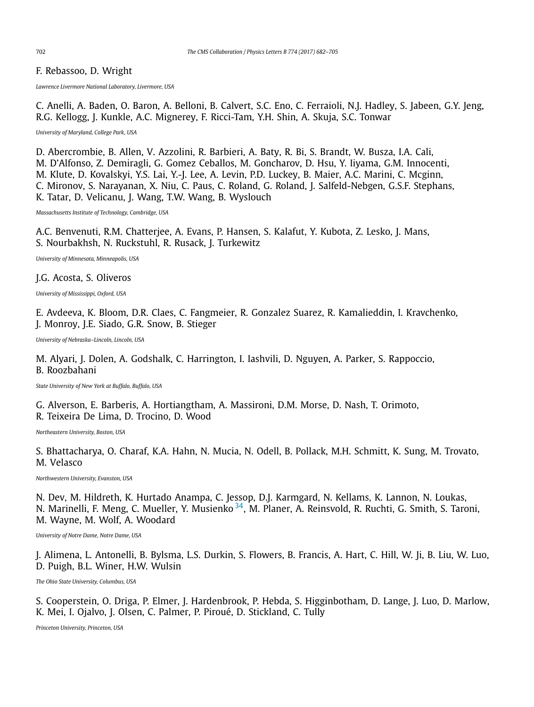### F. Rebassoo, D. Wright

*Lawrence Livermore National Laboratory, Livermore, USA*

C. Anelli, A. Baden, O. Baron, A. Belloni, B. Calvert, S.C. Eno, C. Ferraioli, N.J. Hadley, S. Jabeen, G.Y. Jeng, R.G. Kellogg, J. Kunkle, A.C. Mignerey, F. Ricci-Tam, Y.H. Shin, A. Skuja, S.C. Tonwar

*University of Maryland, College Park, USA*

D. Abercrombie, B. Allen, V. Azzolini, R. Barbieri, A. Baty, R. Bi, S. Brandt, W. Busza, I.A. Cali, M. D'Alfonso, Z. Demiragli, G. Gomez Ceballos, M. Goncharov, D. Hsu, Y. Iiyama, G.M. Innocenti, M. Klute, D. Kovalskyi, Y.S. Lai, Y.-J. Lee, A. Levin, P.D. Luckey, B. Maier, A.C. Marini, C. Mcginn, C. Mironov, S. Narayanan, X. Niu, C. Paus, C. Roland, G. Roland, J. Salfeld-Nebgen, G.S.F. Stephans, K. Tatar, D. Velicanu, J. Wang, T.W. Wang, B. Wyslouch

*Massachusetts Institute of Technology, Cambridge, USA*

A.C. Benvenuti, R.M. Chatterjee, A. Evans, P. Hansen, S. Kalafut, Y. Kubota, Z. Lesko, J. Mans, S. Nourbakhsh, N. Ruckstuhl, R. Rusack, J. Turkewitz

*University of Minnesota, Minneapolis, USA*

J.G. Acosta, S. Oliveros

*University of Mississippi, Oxford, USA*

E. Avdeeva, K. Bloom, D.R. Claes, C. Fangmeier, R. Gonzalez Suarez, R. Kamalieddin, I. Kravchenko, J. Monroy, J.E. Siado, G.R. Snow, B. Stieger

*University of Nebraska–Lincoln, Lincoln, USA*

M. Alyari, J. Dolen, A. Godshalk, C. Harrington, I. Iashvili, D. Nguyen, A. Parker, S. Rappoccio, B. Roozbahani

*State University of New York at Buffalo, Buffalo, USA*

G. Alverson, E. Barberis, A. Hortiangtham, A. Massironi, D.M. Morse, D. Nash, T. Orimoto, R. Teixeira De Lima, D. Trocino, D. Wood

*Northeastern University, Boston, USA*

S. Bhattacharya, O. Charaf, K.A. Hahn, N. Mucia, N. Odell, B. Pollack, M.H. Schmitt, K. Sung, M. Trovato, M. Velasco

*Northwestern University, Evanston, USA*

N. Dev, M. Hildreth, K. Hurtado Anampa, C. Jessop, D.J. Karmgard, N. Kellams, K. Lannon, N. Loukas, N. Marinelli, F. Meng, C. Mueller, Y. Musienko [34,](#page-22-0) M. Planer, A. Reinsvold, R. Ruchti, G. Smith, S. Taroni, M. Wayne, M. Wolf, A. Woodard

*University of Notre Dame, Notre Dame, USA*

J. Alimena, L. Antonelli, B. Bylsma, L.S. Durkin, S. Flowers, B. Francis, A. Hart, C. Hill, W. Ji, B. Liu, W. Luo, D. Puigh, B.L. Winer, H.W. Wulsin

*The Ohio State University, Columbus, USA*

S. Cooperstein, O. Driga, P. Elmer, J. Hardenbrook, P. Hebda, S. Higginbotham, D. Lange, J. Luo, D. Marlow, K. Mei, I. Ojalvo, J. Olsen, C. Palmer, P. Piroué, D. Stickland, C. Tully

*Princeton University, Princeton, USA*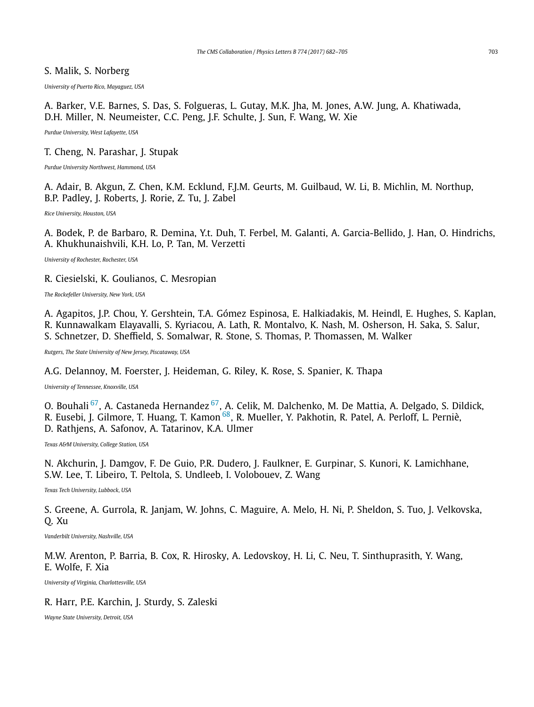### S. Malik, S. Norberg

*University of Puerto Rico, Mayaguez, USA*

A. Barker, V.E. Barnes, S. Das, S. Folgueras, L. Gutay, M.K. Jha, M. Jones, A.W. Jung, A. Khatiwada, D.H. Miller, N. Neumeister, C.C. Peng, J.F. Schulte, J. Sun, F. Wang, W. Xie

*Purdue University, West Lafayette, USA*

### T. Cheng, N. Parashar, J. Stupak

*Purdue University Northwest, Hammond, USA*

A. Adair, B. Akgun, Z. Chen, K.M. Ecklund, F.J.M. Geurts, M. Guilbaud, W. Li, B. Michlin, M. Northup, B.P. Padley, J. Roberts, J. Rorie, Z. Tu, J. Zabel

*Rice University, Houston, USA*

A. Bodek, P. de Barbaro, R. Demina, Y.t. Duh, T. Ferbel, M. Galanti, A. Garcia-Bellido, J. Han, O. Hindrichs, A. Khukhunaishvili, K.H. Lo, P. Tan, M. Verzetti

*University of Rochester, Rochester, USA*

### R. Ciesielski, K. Goulianos, C. Mesropian

*The Rockefeller University, New York, USA*

A. Agapitos, J.P. Chou, Y. Gershtein, T.A. Gómez Espinosa, E. Halkiadakis, M. Heindl, E. Hughes, S. Kaplan, R. Kunnawalkam Elayavalli, S. Kyriacou, A. Lath, R. Montalvo, K. Nash, M. Osherson, H. Saka, S. Salur, S. Schnetzer, D. Sheffield, S. Somalwar, R. Stone, S. Thomas, P. Thomassen, M. Walker

*Rutgers, The State University of New Jersey, Piscataway, USA*

A.G. Delannoy, M. Foerster, J. Heideman, G. Riley, K. Rose, S. Spanier, K. Thapa

*University of Tennessee, Knoxville, USA*

O. Bouhali [67](#page-23-0), A. Castaneda Hernandez [67,](#page-23-0) A. Celik, M. Dalchenko, M. De Mattia, A. Delgado, S. Dildick, R. Eusebi, J. Gilmore, T. Huang, T. Kamon <sup>68</sup>, R. Mueller, Y. Pakhotin, R. Patel, A. Perloff, L. Perniè, D. Rathjens, A. Safonov, A. Tatarinov, K.A. Ulmer

*Texas A&M University, College Station, USA*

N. Akchurin, J. Damgov, F. De Guio, P.R. Dudero, J. Faulkner, E. Gurpinar, S. Kunori, K. Lamichhane, S.W. Lee, T. Libeiro, T. Peltola, S. Undleeb, I. Volobouev, Z. Wang

*Texas Tech University, Lubbock, USA*

S. Greene, A. Gurrola, R. Janjam, W. Johns, C. Maguire, A. Melo, H. Ni, P. Sheldon, S. Tuo, J. Velkovska, Q. Xu

*Vanderbilt University, Nashville, USA*

M.W. Arenton, P. Barria, B. Cox, R. Hirosky, A. Ledovskoy, H. Li, C. Neu, T. Sinthuprasith, Y. Wang, E. Wolfe, F. Xia

*University of Virginia, Charlottesville, USA*

### R. Harr, P.E. Karchin, J. Sturdy, S. Zaleski

*Wayne State University, Detroit, USA*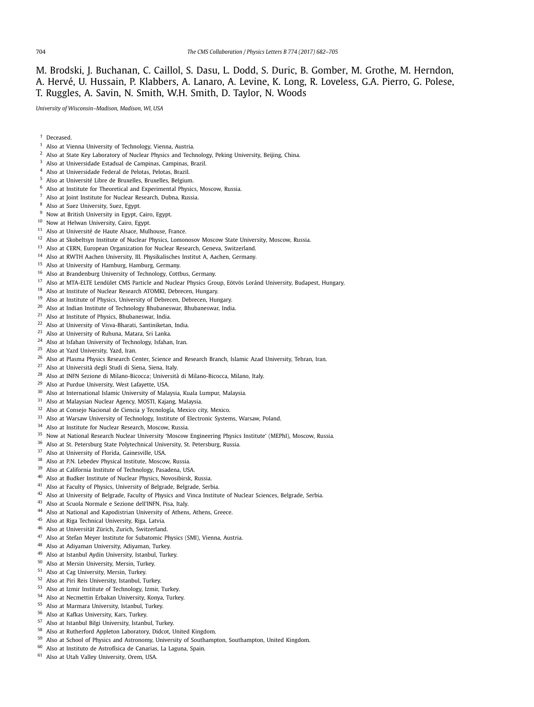<span id="page-22-0"></span>M. Brodski, J. Buchanan, C. Caillol, S. Dasu, L. Dodd, S. Duric, B. Gomber, M. Grothe, M. Herndon, A. Hervé, U. Hussain, P. Klabbers, A. Lanaro, A. Levine, K. Long, R. Loveless, G.A. Pierro, G. Polese, T. Ruggles, A. Savin, N. Smith, W.H. Smith, D. Taylor, N. Woods

*University of Wisconsin–Madison, Madison, WI, USA*

- † Deceased.
- Also at Vienna University of Technology, Vienna, Austria.
- <sup>2</sup> Also at State Key Laboratory of Nuclear Physics and Technology, Peking University, Beijing, China.
- Also at Universidade Estadual de Campinas, Campinas, Brazil.
- Also at Universidade Federal de Pelotas, Pelotas, Brazil.
- Also at Université Libre de Bruxelles, Bruxelles, Belgium.
- Also at Institute for Theoretical and Experimental Physics, Moscow, Russia.
- Also at Joint Institute for Nuclear Research, Dubna, Russia.
- Also at Suez University, Suez, Egypt.
- Now at British University in Egypt, Cairo, Egypt.
- Now at Helwan University, Cairo, Egypt.
- Also at Université de Haute Alsace, Mulhouse, France.
- <sup>12</sup> Also at Skobeltsyn Institute of Nuclear Physics, Lomonosov Moscow State University, Moscow, Russia.
- Also at CERN, European Organization for Nuclear Research, Geneva, Switzerland.
- Also at RWTH Aachen University, III. Physikalisches Institut A, Aachen, Germany.
- <sup>15</sup> Also at University of Hamburg, Hamburg, Germany.
- Also at Brandenburg University of Technology, Cottbus, Germany.
- Also at MTA-ELTE Lendület CMS Particle and Nuclear Physics Group, Eötvös Loránd University, Budapest, Hungary.
- Also at Institute of Nuclear Research ATOMKI, Debrecen, Hungary.
- Also at Institute of Physics, University of Debrecen, Debrecen, Hungary.
- Also at Indian Institute of Technology Bhubaneswar, Bhubaneswar, India.
- Also at Institute of Physics, Bhubaneswar, India.
- Also at University of Visva-Bharati, Santiniketan, India.
- Also at University of Ruhuna, Matara, Sri Lanka.
- Also at Isfahan University of Technology, Isfahan, Iran.
- Also at Yazd University, Yazd, Iran.
- <sup>26</sup> Also at Plasma Physics Research Center, Science and Research Branch, Islamic Azad University, Tehran, Iran.
- Also at Università degli Studi di Siena, Siena, Italy.
- Also at INFN Sezione di Milano-Bicocca; Università di Milano-Bicocca, Milano, Italy.
- Also at Purdue University, West Lafayette, USA.
- <sup>30</sup> Also at International Islamic University of Malaysia, Kuala Lumpur, Malaysia.
- Also at Malaysian Nuclear Agency, MOSTI, Kajang, Malaysia.
- Also at Consejo Nacional de Ciencia y Tecnología, Mexico city, Mexico.
- <sup>33</sup> Also at Warsaw University of Technology, Institute of Electronic Systems, Warsaw, Poland.
- Also at Institute for Nuclear Research, Moscow, Russia.
- Now at National Research Nuclear University 'Moscow Engineering Physics Institute' (MEPhI), Moscow, Russia.
- Also at St. Petersburg State Polytechnical University, St. Petersburg, Russia.
- Also at University of Florida, Gainesville, USA.
- Also at P.N. Lebedev Physical Institute, Moscow, Russia.
- Also at California Institute of Technology, Pasadena, USA.
- Also at Budker Institute of Nuclear Physics, Novosibirsk, Russia.
- Also at Faculty of Physics, University of Belgrade, Belgrade, Serbia.
- Also at University of Belgrade, Faculty of Physics and Vinca Institute of Nuclear Sciences, Belgrade, Serbia.
- Also at Scuola Normale e Sezione dell'INFN, Pisa, Italy.
- Also at National and Kapodistrian University of Athens, Athens, Greece.
- Also at Riga Technical University, Riga, Latvia.
- Also at Universität Zürich, Zurich, Switzerland.
- 47 Also at Stefan Meyer Institute for Subatomic Physics (SMI), Vienna, Austria.
- Also at Adiyaman University, Adiyaman, Turkey.
- Also at Istanbul Aydin University, Istanbul, Turkey.
- Also at Mersin University, Mersin, Turkey.
- Also at Cag University, Mersin, Turkey.
- Also at Piri Reis University, Istanbul, Turkey.
- Also at Izmir Institute of Technology, Izmir, Turkey.
- Also at Necmettin Erbakan University, Konya, Turkey.
- Also at Marmara University, Istanbul, Turkey.
- Also at Kafkas University, Kars, Turkey.
- Also at Istanbul Bilgi University, Istanbul, Turkey.
- Also at Rutherford Appleton Laboratory, Didcot, United Kingdom.
- <sup>59</sup> Also at School of Physics and Astronomy, University of Southampton, Southampton, United Kingdom.
- Also at Instituto de Astrofísica de Canarias, La Laguna, Spain.
- Also at Utah Valley University, Orem, USA.